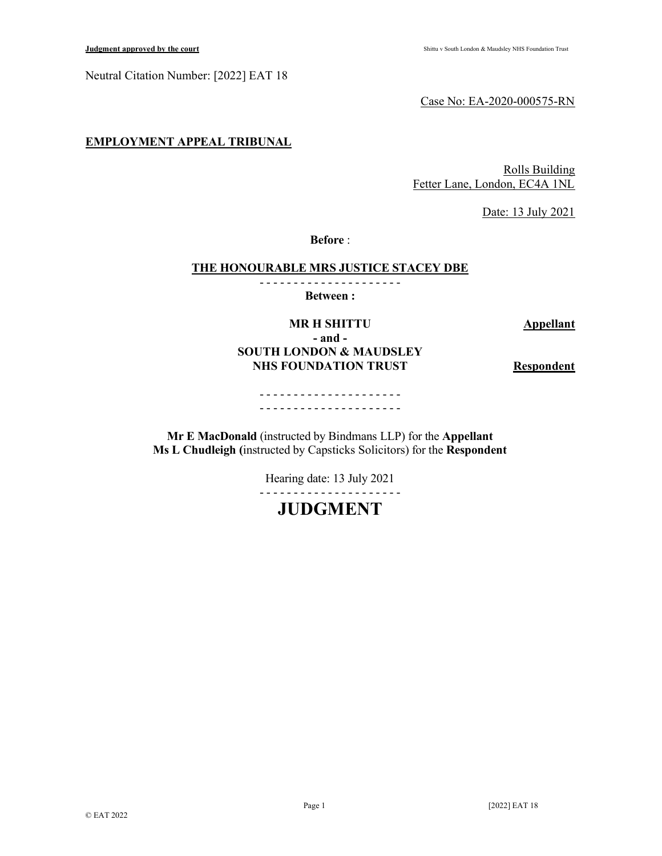Neutral Citation Number: [2022] EAT 18

Case No: EA-2020-000575-RN

## EMPLOYMENT APPEAL TRIBUNAL

Rolls Building Fetter Lane, London, EC4A 1NL

Date: 13 July 2021

Before :

#### THE HONOURABLE MRS JUSTICE STACEY DBE

- - - - - - - - - - - - - - - - - - - - -

Between :

#### MR H SHITTU Appellant - and -

# SOUTH LONDON & MAUDSLEY NHS FOUNDATION TRUST Respondent

- - - - - - - - - - - - - - - - - - - - - - - - - - - - - - - - - - - - - - - - - -

Mr E MacDonald (instructed by Bindmans LLP) for the Appellant Ms L Chudleigh (instructed by Capsticks Solicitors) for the Respondent

Hearing date: 13 July 2021

- - - - - - - - - - - - - - - - - - - - -

# JUDGMENT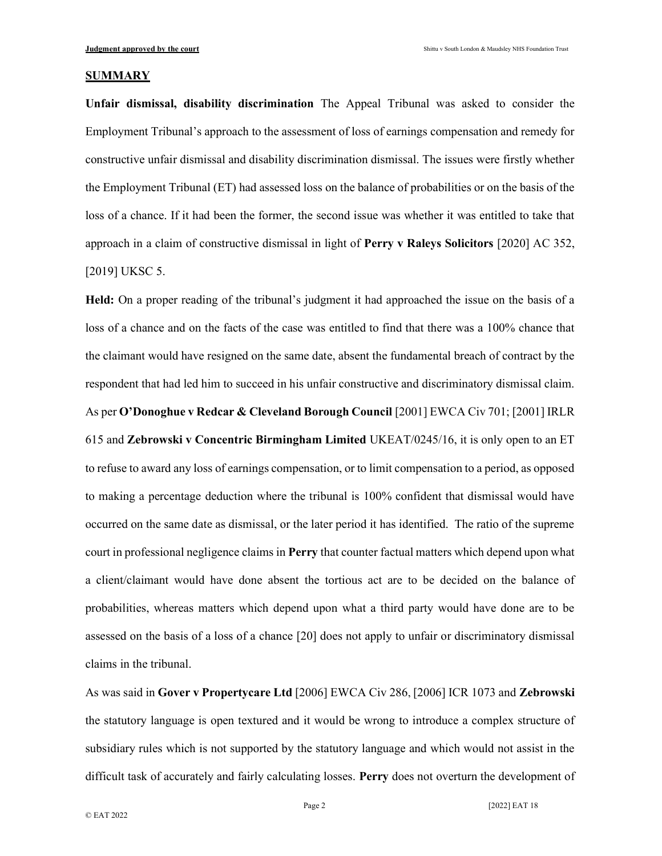#### **SUMMARY**

Unfair dismissal, disability discrimination The Appeal Tribunal was asked to consider the Employment Tribunal's approach to the assessment of loss of earnings compensation and remedy for constructive unfair dismissal and disability discrimination dismissal. The issues were firstly whether the Employment Tribunal (ET) had assessed loss on the balance of probabilities or on the basis of the loss of a chance. If it had been the former, the second issue was whether it was entitled to take that approach in a claim of constructive dismissal in light of Perry v Raleys Solicitors [2020] AC 352, [2019] UKSC 5.

Held: On a proper reading of the tribunal's judgment it had approached the issue on the basis of a loss of a chance and on the facts of the case was entitled to find that there was a 100% chance that the claimant would have resigned on the same date, absent the fundamental breach of contract by the respondent that had led him to succeed in his unfair constructive and discriminatory dismissal claim. As per O'Donoghue v Redcar & Cleveland Borough Council [2001] EWCA Civ 701; [2001] IRLR 615 and Zebrowski v Concentric Birmingham Limited UKEAT/0245/16, it is only open to an ET to refuse to award any loss of earnings compensation, or to limit compensation to a period, as opposed to making a percentage deduction where the tribunal is 100% confident that dismissal would have occurred on the same date as dismissal, or the later period it has identified. The ratio of the supreme court in professional negligence claims in Perry that counter factual matters which depend upon what a client/claimant would have done absent the tortious act are to be decided on the balance of probabilities, whereas matters which depend upon what a third party would have done are to be assessed on the basis of a loss of a chance [20] does not apply to unfair or discriminatory dismissal claims in the tribunal.

As was said in Gover v Propertycare Ltd [2006] EWCA Civ 286, [2006] ICR 1073 and Zebrowski the statutory language is open textured and it would be wrong to introduce a complex structure of subsidiary rules which is not supported by the statutory language and which would not assist in the difficult task of accurately and fairly calculating losses. Perry does not overturn the development of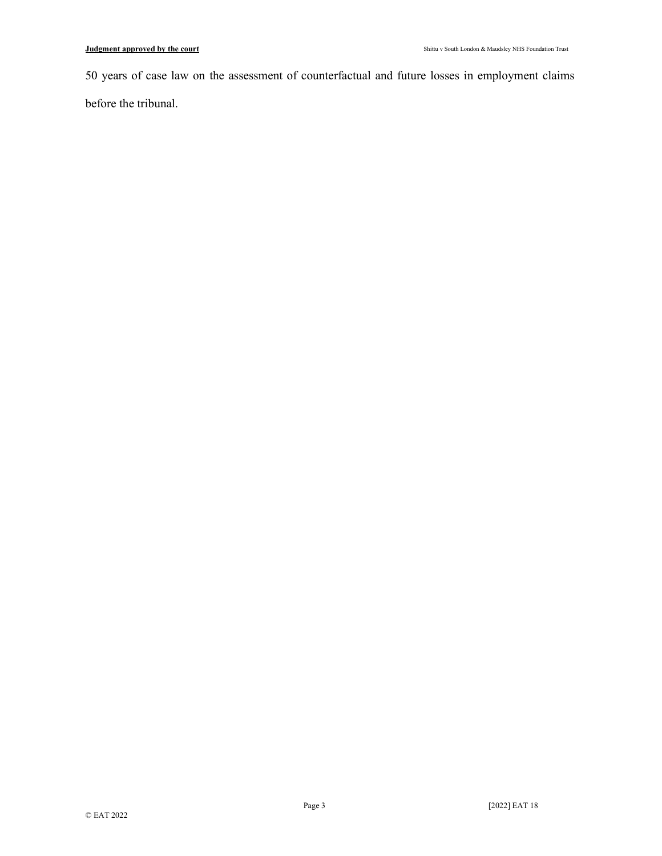50 years of case law on the assessment of counterfactual and future losses in employment claims

before the tribunal.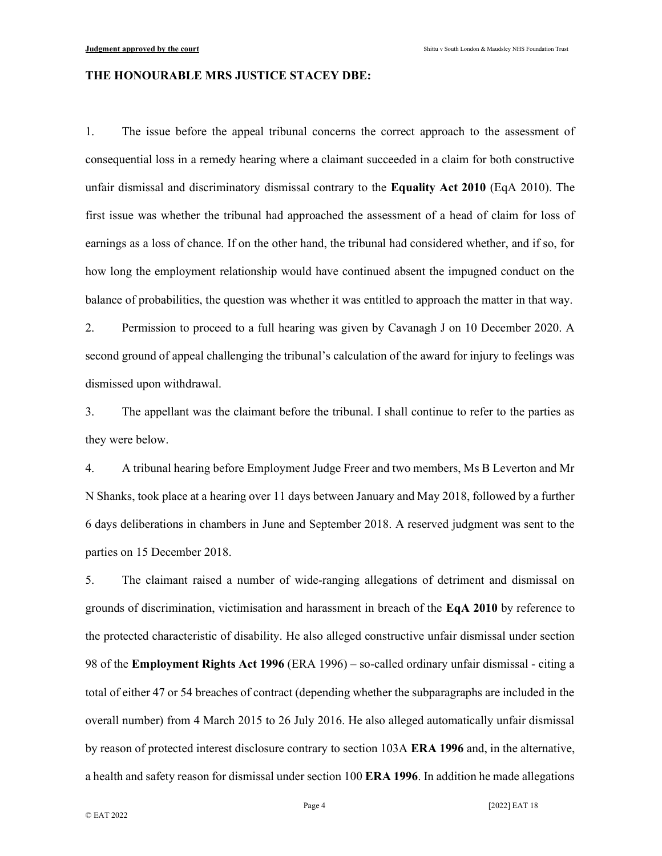#### THE HONOURABLE MRS JUSTICE STACEY DBE:

1. The issue before the appeal tribunal concerns the correct approach to the assessment of consequential loss in a remedy hearing where a claimant succeeded in a claim for both constructive unfair dismissal and discriminatory dismissal contrary to the **Equality Act 2010** (EqA 2010). The first issue was whether the tribunal had approached the assessment of a head of claim for loss of earnings as a loss of chance. If on the other hand, the tribunal had considered whether, and if so, for how long the employment relationship would have continued absent the impugned conduct on the balance of probabilities, the question was whether it was entitled to approach the matter in that way.

2. Permission to proceed to a full hearing was given by Cavanagh J on 10 December 2020. A second ground of appeal challenging the tribunal's calculation of the award for injury to feelings was dismissed upon withdrawal.

3. The appellant was the claimant before the tribunal. I shall continue to refer to the parties as they were below.

4. A tribunal hearing before Employment Judge Freer and two members, Ms B Leverton and Mr N Shanks, took place at a hearing over 11 days between January and May 2018, followed by a further 6 days deliberations in chambers in June and September 2018. A reserved judgment was sent to the parties on 15 December 2018.

5. The claimant raised a number of wide-ranging allegations of detriment and dismissal on grounds of discrimination, victimisation and harassment in breach of the EqA 2010 by reference to the protected characteristic of disability. He also alleged constructive unfair dismissal under section 98 of the Employment Rights Act 1996 (ERA 1996) – so-called ordinary unfair dismissal - citing a total of either 47 or 54 breaches of contract (depending whether the subparagraphs are included in the overall number) from 4 March 2015 to 26 July 2016. He also alleged automatically unfair dismissal by reason of protected interest disclosure contrary to section 103A ERA 1996 and, in the alternative, a health and safety reason for dismissal under section 100 ERA 1996. In addition he made allegations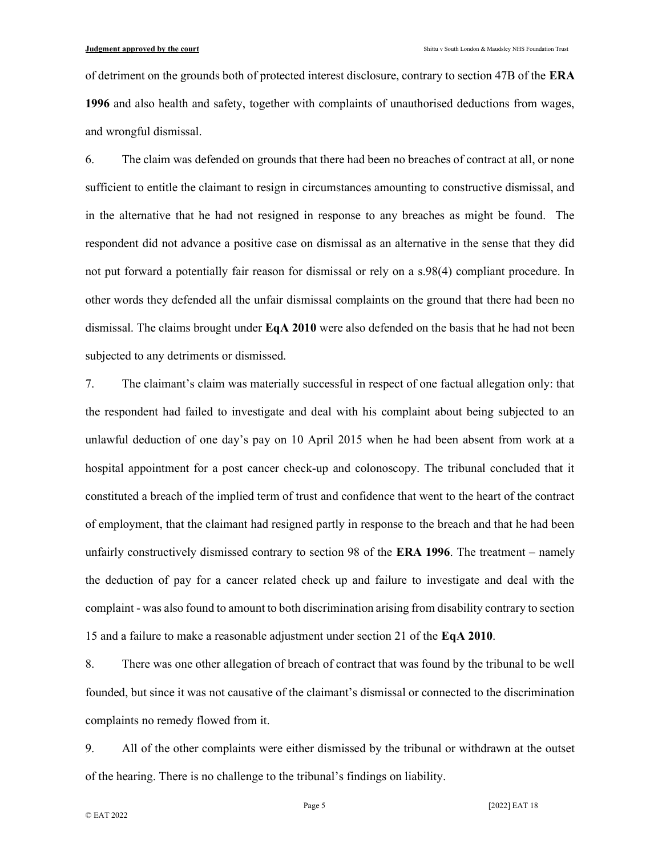of detriment on the grounds both of protected interest disclosure, contrary to section 47B of the ERA 1996 and also health and safety, together with complaints of unauthorised deductions from wages, and wrongful dismissal.

6. The claim was defended on grounds that there had been no breaches of contract at all, or none sufficient to entitle the claimant to resign in circumstances amounting to constructive dismissal, and in the alternative that he had not resigned in response to any breaches as might be found. The respondent did not advance a positive case on dismissal as an alternative in the sense that they did not put forward a potentially fair reason for dismissal or rely on a s.98(4) compliant procedure. In other words they defended all the unfair dismissal complaints on the ground that there had been no dismissal. The claims brought under  $\mathbf{Eq} \mathbf{A} 2010$  were also defended on the basis that he had not been subjected to any detriments or dismissed.

7. The claimant's claim was materially successful in respect of one factual allegation only: that the respondent had failed to investigate and deal with his complaint about being subjected to an unlawful deduction of one day's pay on 10 April 2015 when he had been absent from work at a hospital appointment for a post cancer check-up and colonoscopy. The tribunal concluded that it constituted a breach of the implied term of trust and confidence that went to the heart of the contract of employment, that the claimant had resigned partly in response to the breach and that he had been unfairly constructively dismissed contrary to section 98 of the **ERA 1996**. The treatment – namely the deduction of pay for a cancer related check up and failure to investigate and deal with the complaint - was also found to amount to both discrimination arising from disability contrary to section 15 and a failure to make a reasonable adjustment under section 21 of the EqA 2010.

8. There was one other allegation of breach of contract that was found by the tribunal to be well founded, but since it was not causative of the claimant's dismissal or connected to the discrimination complaints no remedy flowed from it.

9. All of the other complaints were either dismissed by the tribunal or withdrawn at the outset of the hearing. There is no challenge to the tribunal's findings on liability.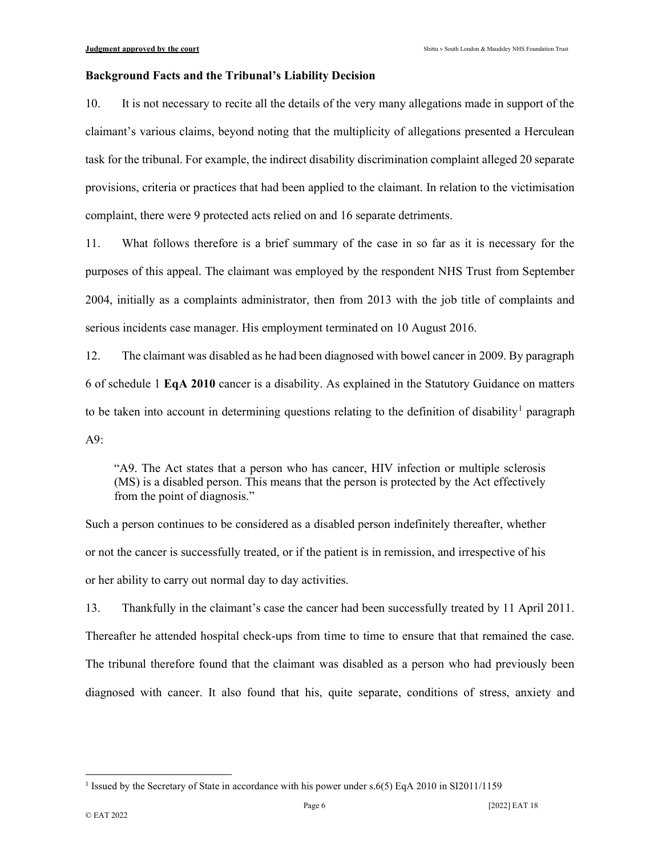#### Background Facts and the Tribunal's Liability Decision

10. It is not necessary to recite all the details of the very many allegations made in support of the claimant's various claims, beyond noting that the multiplicity of allegations presented a Herculean task for the tribunal. For example, the indirect disability discrimination complaint alleged 20 separate provisions, criteria or practices that had been applied to the claimant. In relation to the victimisation complaint, there were 9 protected acts relied on and 16 separate detriments.

11. What follows therefore is a brief summary of the case in so far as it is necessary for the purposes of this appeal. The claimant was employed by the respondent NHS Trust from September 2004, initially as a complaints administrator, then from 2013 with the job title of complaints and serious incidents case manager. His employment terminated on 10 August 2016.

12. The claimant was disabled as he had been diagnosed with bowel cancer in 2009. By paragraph 6 of schedule 1 EqA 2010 cancer is a disability. As explained in the Statutory Guidance on matters to be taken into account in determining questions relating to the definition of disability<sup>1</sup> paragraph A9:

"A9. The Act states that a person who has cancer, HIV infection or multiple sclerosis (MS) is a disabled person. This means that the person is protected by the Act effectively from the point of diagnosis."

Such a person continues to be considered as a disabled person indefinitely thereafter, whether or not the cancer is successfully treated, or if the patient is in remission, and irrespective of his or her ability to carry out normal day to day activities.

13. Thankfully in the claimant's case the cancer had been successfully treated by 11 April 2011. Thereafter he attended hospital check-ups from time to time to ensure that that remained the case. The tribunal therefore found that the claimant was disabled as a person who had previously been diagnosed with cancer. It also found that his, quite separate, conditions of stress, anxiety and

<sup>&</sup>lt;sup>1</sup> Issued by the Secretary of State in accordance with his power under s.6(5) EqA 2010 in SI2011/1159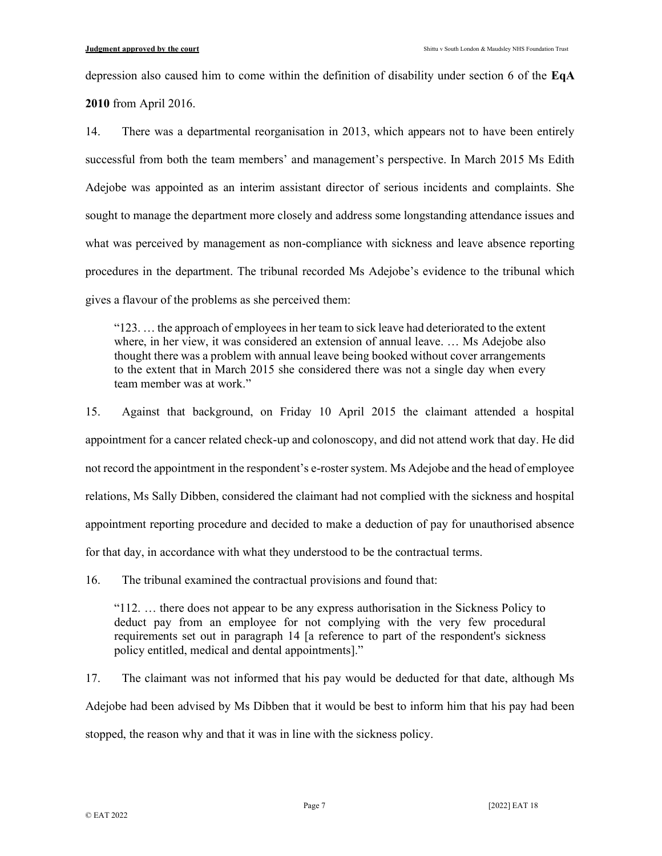depression also caused him to come within the definition of disability under section 6 of the EqA

2010 from April 2016.

14. There was a departmental reorganisation in 2013, which appears not to have been entirely successful from both the team members' and management's perspective. In March 2015 Ms Edith Adejobe was appointed as an interim assistant director of serious incidents and complaints. She sought to manage the department more closely and address some longstanding attendance issues and what was perceived by management as non-compliance with sickness and leave absence reporting procedures in the department. The tribunal recorded Ms Adejobe's evidence to the tribunal which gives a flavour of the problems as she perceived them:

"123. … the approach of employees in her team to sick leave had deteriorated to the extent where, in her view, it was considered an extension of annual leave. … Ms Adejobe also thought there was a problem with annual leave being booked without cover arrangements to the extent that in March 2015 she considered there was not a single day when every team member was at work."

15. Against that background, on Friday 10 April 2015 the claimant attended a hospital appointment for a cancer related check-up and colonoscopy, and did not attend work that day. He did not record the appointment in the respondent's e-roster system. Ms Adejobe and the head of employee relations, Ms Sally Dibben, considered the claimant had not complied with the sickness and hospital appointment reporting procedure and decided to make a deduction of pay for unauthorised absence for that day, in accordance with what they understood to be the contractual terms.

16. The tribunal examined the contractual provisions and found that:

"112. … there does not appear to be any express authorisation in the Sickness Policy to deduct pay from an employee for not complying with the very few procedural requirements set out in paragraph 14 [a reference to part of the respondent's sickness policy entitled, medical and dental appointments]."

17. The claimant was not informed that his pay would be deducted for that date, although Ms Adejobe had been advised by Ms Dibben that it would be best to inform him that his pay had been stopped, the reason why and that it was in line with the sickness policy.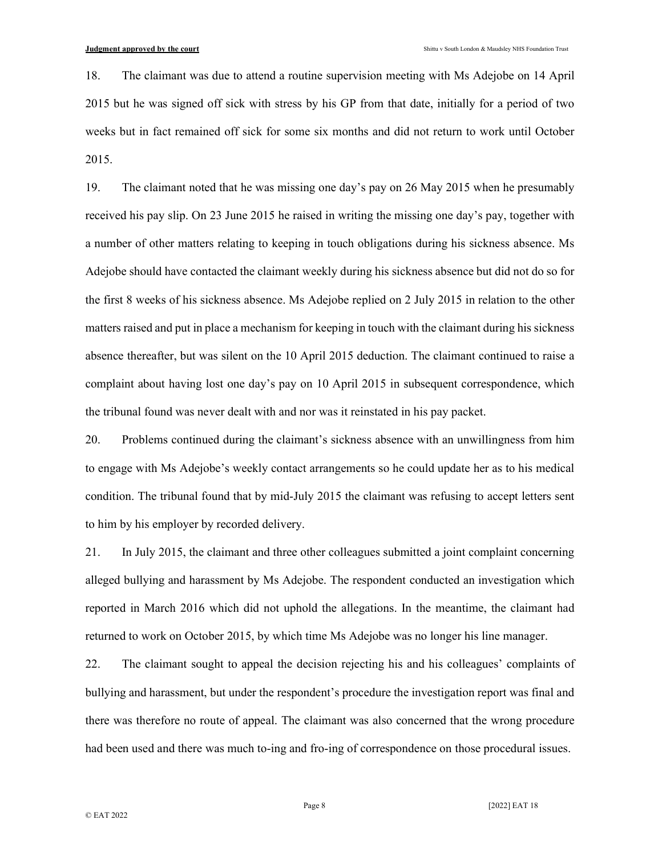18. The claimant was due to attend a routine supervision meeting with Ms Adejobe on 14 April 2015 but he was signed off sick with stress by his GP from that date, initially for a period of two weeks but in fact remained off sick for some six months and did not return to work until October 2015.

19. The claimant noted that he was missing one day's pay on 26 May 2015 when he presumably received his pay slip. On 23 June 2015 he raised in writing the missing one day's pay, together with a number of other matters relating to keeping in touch obligations during his sickness absence. Ms Adejobe should have contacted the claimant weekly during his sickness absence but did not do so for the first 8 weeks of his sickness absence. Ms Adejobe replied on 2 July 2015 in relation to the other matters raised and put in place a mechanism for keeping in touch with the claimant during his sickness absence thereafter, but was silent on the 10 April 2015 deduction. The claimant continued to raise a complaint about having lost one day's pay on 10 April 2015 in subsequent correspondence, which the tribunal found was never dealt with and nor was it reinstated in his pay packet.

20. Problems continued during the claimant's sickness absence with an unwillingness from him to engage with Ms Adejobe's weekly contact arrangements so he could update her as to his medical condition. The tribunal found that by mid-July 2015 the claimant was refusing to accept letters sent to him by his employer by recorded delivery.

21. In July 2015, the claimant and three other colleagues submitted a joint complaint concerning alleged bullying and harassment by Ms Adejobe. The respondent conducted an investigation which reported in March 2016 which did not uphold the allegations. In the meantime, the claimant had returned to work on October 2015, by which time Ms Adejobe was no longer his line manager.

22. The claimant sought to appeal the decision rejecting his and his colleagues' complaints of bullying and harassment, but under the respondent's procedure the investigation report was final and there was therefore no route of appeal. The claimant was also concerned that the wrong procedure had been used and there was much to-ing and fro-ing of correspondence on those procedural issues.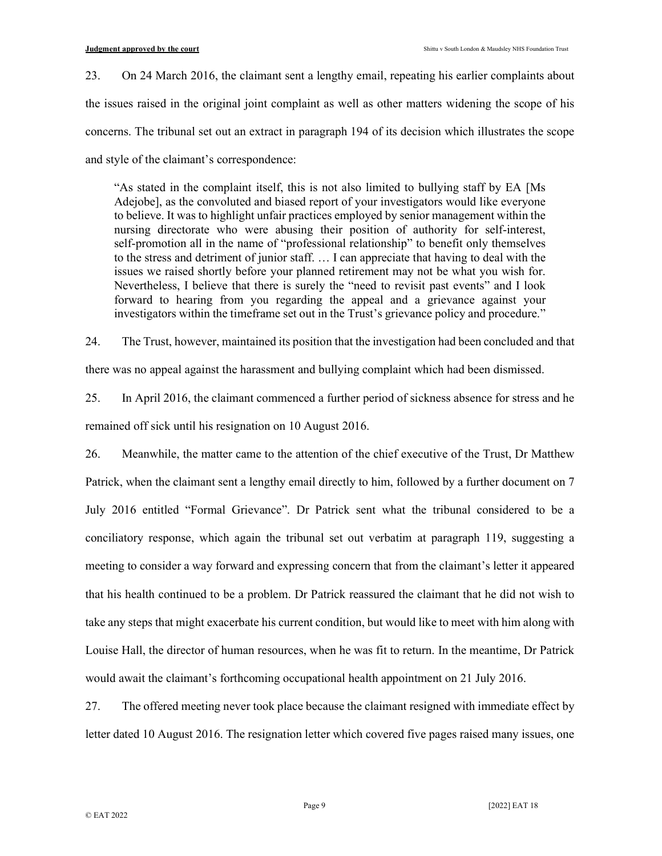23. On 24 March 2016, the claimant sent a lengthy email, repeating his earlier complaints about the issues raised in the original joint complaint as well as other matters widening the scope of his concerns. The tribunal set out an extract in paragraph 194 of its decision which illustrates the scope and style of the claimant's correspondence:

"As stated in the complaint itself, this is not also limited to bullying staff by EA [Ms Adejobe], as the convoluted and biased report of your investigators would like everyone to believe. It was to highlight unfair practices employed by senior management within the nursing directorate who were abusing their position of authority for self-interest, self-promotion all in the name of "professional relationship" to benefit only themselves to the stress and detriment of junior staff. … I can appreciate that having to deal with the issues we raised shortly before your planned retirement may not be what you wish for. Nevertheless, I believe that there is surely the "need to revisit past events" and I look forward to hearing from you regarding the appeal and a grievance against your investigators within the timeframe set out in the Trust's grievance policy and procedure."

24. The Trust, however, maintained its position that the investigation had been concluded and that

there was no appeal against the harassment and bullying complaint which had been dismissed.

25. In April 2016, the claimant commenced a further period of sickness absence for stress and he remained off sick until his resignation on 10 August 2016.

26. Meanwhile, the matter came to the attention of the chief executive of the Trust, Dr Matthew Patrick, when the claimant sent a lengthy email directly to him, followed by a further document on 7 July 2016 entitled "Formal Grievance". Dr Patrick sent what the tribunal considered to be a conciliatory response, which again the tribunal set out verbatim at paragraph 119, suggesting a meeting to consider a way forward and expressing concern that from the claimant's letter it appeared that his health continued to be a problem. Dr Patrick reassured the claimant that he did not wish to take any steps that might exacerbate his current condition, but would like to meet with him along with Louise Hall, the director of human resources, when he was fit to return. In the meantime, Dr Patrick would await the claimant's forthcoming occupational health appointment on 21 July 2016.

27. The offered meeting never took place because the claimant resigned with immediate effect by letter dated 10 August 2016. The resignation letter which covered five pages raised many issues, one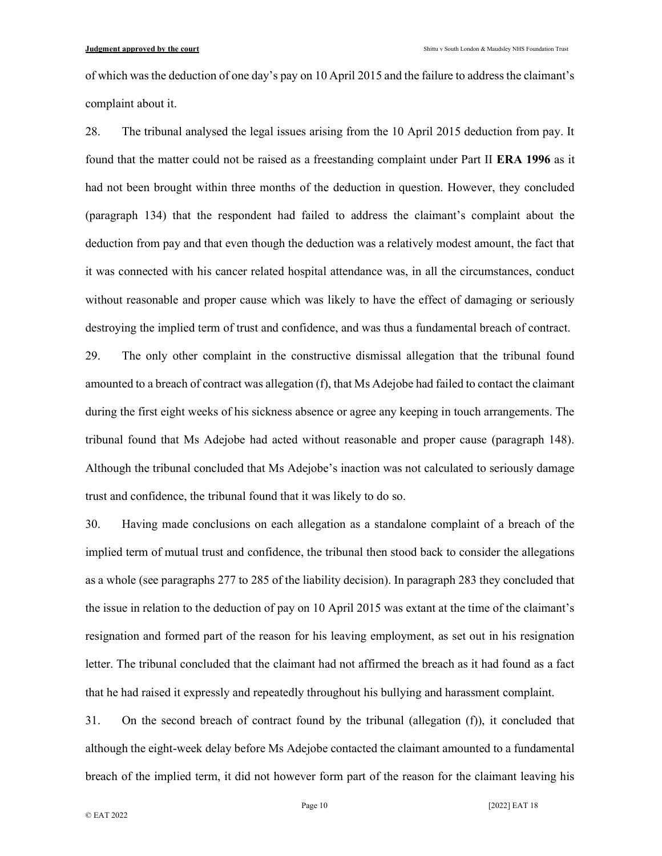of which was the deduction of one day's pay on 10 April 2015 and the failure to address the claimant's complaint about it.

28. The tribunal analysed the legal issues arising from the 10 April 2015 deduction from pay. It found that the matter could not be raised as a freestanding complaint under Part II ERA 1996 as it had not been brought within three months of the deduction in question. However, they concluded (paragraph 134) that the respondent had failed to address the claimant's complaint about the deduction from pay and that even though the deduction was a relatively modest amount, the fact that it was connected with his cancer related hospital attendance was, in all the circumstances, conduct without reasonable and proper cause which was likely to have the effect of damaging or seriously destroying the implied term of trust and confidence, and was thus a fundamental breach of contract.

29. The only other complaint in the constructive dismissal allegation that the tribunal found amounted to a breach of contract was allegation (f), that Ms Adejobe had failed to contact the claimant during the first eight weeks of his sickness absence or agree any keeping in touch arrangements. The tribunal found that Ms Adejobe had acted without reasonable and proper cause (paragraph 148). Although the tribunal concluded that Ms Adejobe's inaction was not calculated to seriously damage trust and confidence, the tribunal found that it was likely to do so.

30. Having made conclusions on each allegation as a standalone complaint of a breach of the implied term of mutual trust and confidence, the tribunal then stood back to consider the allegations as a whole (see paragraphs 277 to 285 of the liability decision). In paragraph 283 they concluded that the issue in relation to the deduction of pay on 10 April 2015 was extant at the time of the claimant's resignation and formed part of the reason for his leaving employment, as set out in his resignation letter. The tribunal concluded that the claimant had not affirmed the breach as it had found as a fact that he had raised it expressly and repeatedly throughout his bullying and harassment complaint.

31. On the second breach of contract found by the tribunal (allegation (f)), it concluded that although the eight-week delay before Ms Adejobe contacted the claimant amounted to a fundamental breach of the implied term, it did not however form part of the reason for the claimant leaving his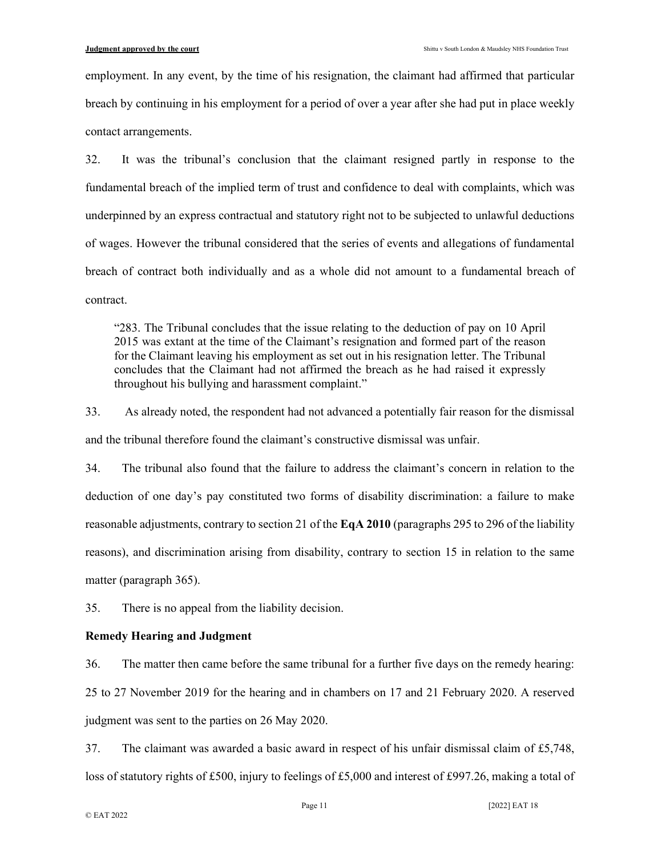employment. In any event, by the time of his resignation, the claimant had affirmed that particular breach by continuing in his employment for a period of over a year after she had put in place weekly contact arrangements.

32. It was the tribunal's conclusion that the claimant resigned partly in response to the fundamental breach of the implied term of trust and confidence to deal with complaints, which was underpinned by an express contractual and statutory right not to be subjected to unlawful deductions of wages. However the tribunal considered that the series of events and allegations of fundamental breach of contract both individually and as a whole did not amount to a fundamental breach of contract.

"283. The Tribunal concludes that the issue relating to the deduction of pay on 10 April 2015 was extant at the time of the Claimant's resignation and formed part of the reason for the Claimant leaving his employment as set out in his resignation letter. The Tribunal concludes that the Claimant had not affirmed the breach as he had raised it expressly throughout his bullying and harassment complaint."

33. As already noted, the respondent had not advanced a potentially fair reason for the dismissal and the tribunal therefore found the claimant's constructive dismissal was unfair.

34. The tribunal also found that the failure to address the claimant's concern in relation to the deduction of one day's pay constituted two forms of disability discrimination: a failure to make reasonable adjustments, contrary to section 21 of the EqA 2010 (paragraphs 295 to 296 of the liability reasons), and discrimination arising from disability, contrary to section 15 in relation to the same matter (paragraph 365).

35. There is no appeal from the liability decision.

#### Remedy Hearing and Judgment

36. The matter then came before the same tribunal for a further five days on the remedy hearing: 25 to 27 November 2019 for the hearing and in chambers on 17 and 21 February 2020. A reserved judgment was sent to the parties on 26 May 2020.

37. The claimant was awarded a basic award in respect of his unfair dismissal claim of £5,748, loss of statutory rights of £500, injury to feelings of £5,000 and interest of £997.26, making a total of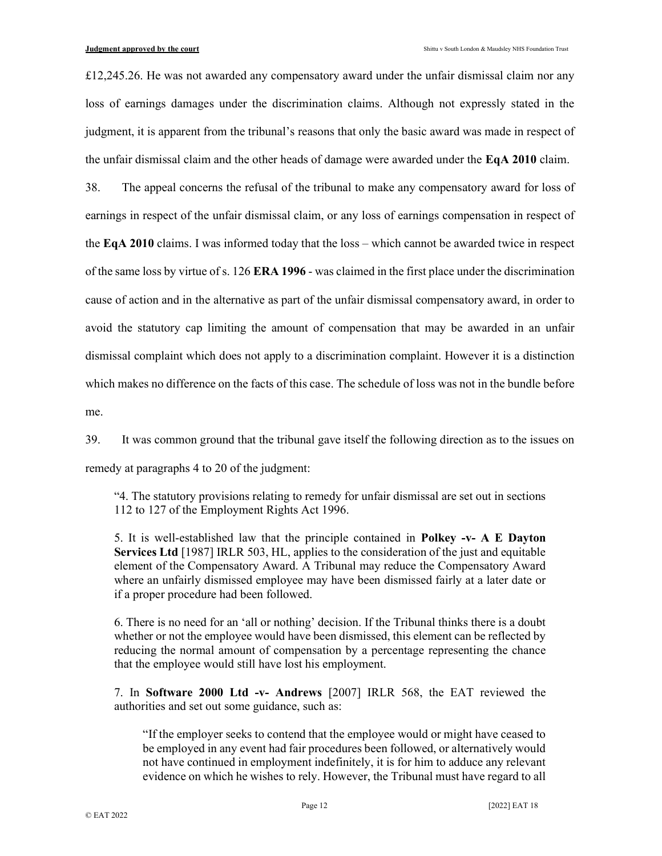$£12,245.26$ . He was not awarded any compensatory award under the unfair dismissal claim nor any loss of earnings damages under the discrimination claims. Although not expressly stated in the judgment, it is apparent from the tribunal's reasons that only the basic award was made in respect of the unfair dismissal claim and the other heads of damage were awarded under the EqA 2010 claim.

38. The appeal concerns the refusal of the tribunal to make any compensatory award for loss of earnings in respect of the unfair dismissal claim, or any loss of earnings compensation in respect of the EqA 2010 claims. I was informed today that the loss – which cannot be awarded twice in respect of the same loss by virtue of s. 126 ERA 1996 - was claimed in the first place under the discrimination cause of action and in the alternative as part of the unfair dismissal compensatory award, in order to avoid the statutory cap limiting the amount of compensation that may be awarded in an unfair dismissal complaint which does not apply to a discrimination complaint. However it is a distinction which makes no difference on the facts of this case. The schedule of loss was not in the bundle before me.

39. It was common ground that the tribunal gave itself the following direction as to the issues on remedy at paragraphs 4 to 20 of the judgment:

"4. The statutory provisions relating to remedy for unfair dismissal are set out in sections 112 to 127 of the Employment Rights Act 1996.

5. It is well-established law that the principle contained in Polkey -v- A E Dayton Services Ltd [1987] IRLR 503, HL, applies to the consideration of the just and equitable element of the Compensatory Award. A Tribunal may reduce the Compensatory Award where an unfairly dismissed employee may have been dismissed fairly at a later date or if a proper procedure had been followed.

6. There is no need for an 'all or nothing' decision. If the Tribunal thinks there is a doubt whether or not the employee would have been dismissed, this element can be reflected by reducing the normal amount of compensation by a percentage representing the chance that the employee would still have lost his employment.

7. In Software 2000 Ltd -v- Andrews [2007] IRLR 568, the EAT reviewed the authorities and set out some guidance, such as:

"If the employer seeks to contend that the employee would or might have ceased to be employed in any event had fair procedures been followed, or alternatively would not have continued in employment indefinitely, it is for him to adduce any relevant evidence on which he wishes to rely. However, the Tribunal must have regard to all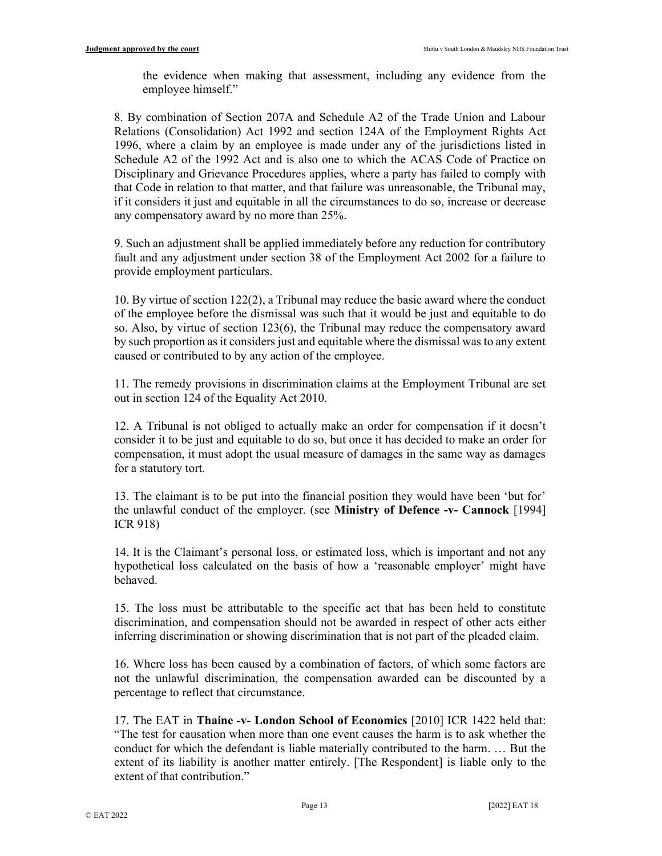the evidence when making that assessment, including any evidence from the employee himself."

8. By combination of Section 207A and Schedule A2 of the Trade Union and Labour Relations (Consolidation) Act 1992 and section 124A of the Employment Rights Act 1996, where a claim by an employee is made under any of the jurisdictions listed in Schedule A2 of the 1992 Act and is also one to which the ACAS Code of Practice on Disciplinary and Grievance Procedures applies, where a party has failed to comply with that Code in relation to that matter, and that failure was unreasonable, the Tribunal may, if it considers it just and equitable in all the circumstances to do so, increase or decrease any compensatory award by no more than 25%.

9. Such an adjustment shall be applied immediately before any reduction for contributory fault and any adjustment under section 38 of the Employment Act 2002 for a failure to provide employment particulars.

10. By virtue of section 122(2), a Tribunal may reduce the basic award where the conduct of the employee before the dismissal was such that it would be just and equitable to do so. Also, by virtue of section 123(6), the Tribunal may reduce the compensatory award by such proportion as it considers just and equitable where the dismissal was to any extent caused or contributed to by any action of the employee.

11. The remedy provisions in discrimination claims at the Employment Tribunal are set out in section 124 of the Equality Act 2010.

12. A Tribunal is not obliged to actually make an order for compensation if it doesn't consider it to be just and equitable to do so, but once it has decided to make an order for compensation, it must adopt the usual measure of damages in the same way as damages for a statutory tort.

13. The claimant is to be put into the financial position they would have been 'but for' the unlawful conduct of the employer. (see **Ministry of Defence -v- Cannock** [1994] ICR 918)

14. It is the Claimant's personal loss, or estimated loss, which is important and not any hypothetical loss calculated on the basis of how a 'reasonable employer' might have behaved.

15. The loss must be attributable to the specific act that has been held to constitute discrimination, and compensation should not be awarded in respect of other acts either inferring discrimination or showing discrimination that is not part of the pleaded claim.

16. Where loss has been caused by a combination of factors, of which some factors are not the unlawful discrimination, the compensation awarded can be discounted by a percentage to reflect that circumstance.

17. The EAT in Thaine -v- London School of Economics [2010] ICR 1422 held that: "The test for causation when more than one event causes the harm is to ask whether the conduct for which the defendant is liable materially contributed to the harm. … But the extent of its liability is another matter entirely. [The Respondent] is liable only to the extent of that contribution."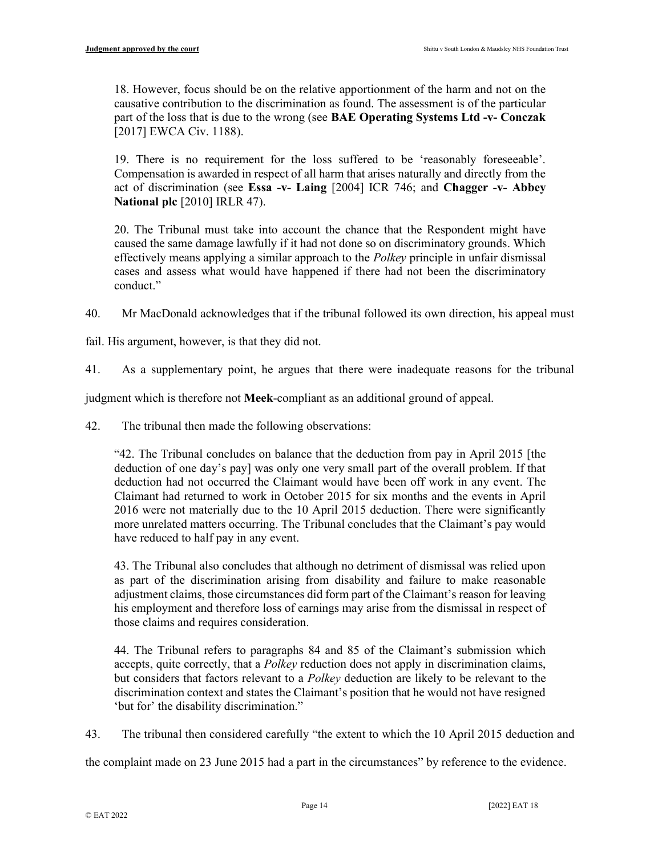18. However, focus should be on the relative apportionment of the harm and not on the causative contribution to the discrimination as found. The assessment is of the particular part of the loss that is due to the wrong (see BAE Operating Systems Ltd -v- Conczak [2017] EWCA Civ. 1188).

19. There is no requirement for the loss suffered to be 'reasonably foreseeable'. Compensation is awarded in respect of all harm that arises naturally and directly from the act of discrimination (see Essa -v- Laing [2004] ICR 746; and Chagger -v- Abbey National plc [2010] IRLR 47).

20. The Tribunal must take into account the chance that the Respondent might have caused the same damage lawfully if it had not done so on discriminatory grounds. Which effectively means applying a similar approach to the *Polkey* principle in unfair dismissal cases and assess what would have happened if there had not been the discriminatory conduct."

40. Mr MacDonald acknowledges that if the tribunal followed its own direction, his appeal must

fail. His argument, however, is that they did not.

41. As a supplementary point, he argues that there were inadequate reasons for the tribunal

judgment which is therefore not Meek-compliant as an additional ground of appeal.

42. The tribunal then made the following observations:

"42. The Tribunal concludes on balance that the deduction from pay in April 2015 [the deduction of one day's pay] was only one very small part of the overall problem. If that deduction had not occurred the Claimant would have been off work in any event. The Claimant had returned to work in October 2015 for six months and the events in April 2016 were not materially due to the 10 April 2015 deduction. There were significantly more unrelated matters occurring. The Tribunal concludes that the Claimant's pay would have reduced to half pay in any event.

43. The Tribunal also concludes that although no detriment of dismissal was relied upon as part of the discrimination arising from disability and failure to make reasonable adjustment claims, those circumstances did form part of the Claimant's reason for leaving his employment and therefore loss of earnings may arise from the dismissal in respect of those claims and requires consideration.

44. The Tribunal refers to paragraphs 84 and 85 of the Claimant's submission which accepts, quite correctly, that a *Polkey* reduction does not apply in discrimination claims, but considers that factors relevant to a *Polkey* deduction are likely to be relevant to the discrimination context and states the Claimant's position that he would not have resigned 'but for' the disability discrimination."

43. The tribunal then considered carefully "the extent to which the 10 April 2015 deduction and

the complaint made on 23 June 2015 had a part in the circumstances" by reference to the evidence.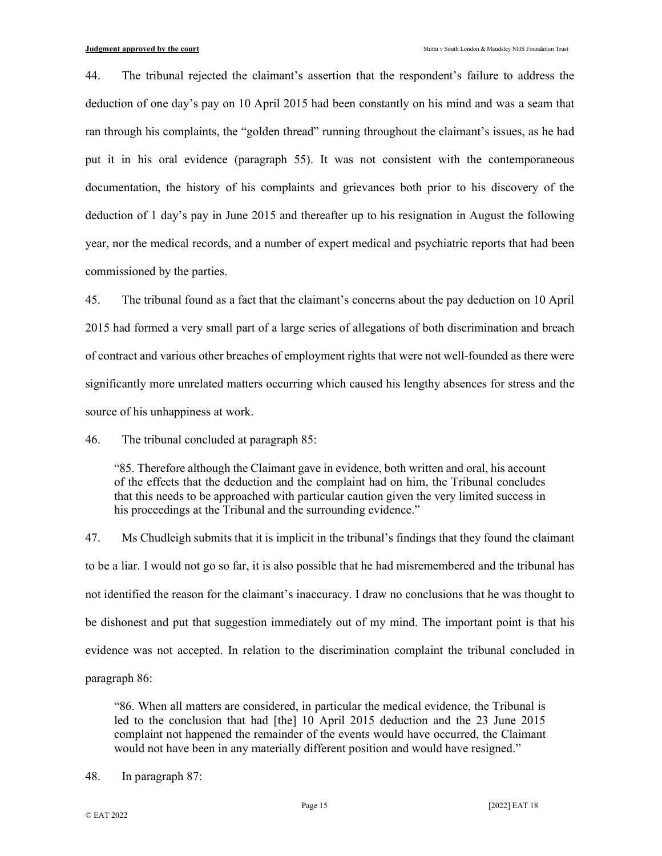44. The tribunal rejected the claimant's assertion that the respondent's failure to address the deduction of one day's pay on 10 April 2015 had been constantly on his mind and was a seam that ran through his complaints, the "golden thread" running throughout the claimant's issues, as he had put it in his oral evidence (paragraph 55). It was not consistent with the contemporaneous documentation, the history of his complaints and grievances both prior to his discovery of the deduction of 1 day's pay in June 2015 and thereafter up to his resignation in August the following year, nor the medical records, and a number of expert medical and psychiatric reports that had been commissioned by the parties.

45. The tribunal found as a fact that the claimant's concerns about the pay deduction on 10 April 2015 had formed a very small part of a large series of allegations of both discrimination and breach of contract and various other breaches of employment rights that were not well-founded as there were significantly more unrelated matters occurring which caused his lengthy absences for stress and the source of his unhappiness at work.

46. The tribunal concluded at paragraph 85:

"85. Therefore although the Claimant gave in evidence, both written and oral, his account of the effects that the deduction and the complaint had on him, the Tribunal concludes that this needs to be approached with particular caution given the very limited success in his proceedings at the Tribunal and the surrounding evidence."

47. Ms Chudleigh submits that it is implicit in the tribunal's findings that they found the claimant to be a liar. I would not go so far, it is also possible that he had misremembered and the tribunal has not identified the reason for the claimant's inaccuracy. I draw no conclusions that he was thought to be dishonest and put that suggestion immediately out of my mind. The important point is that his evidence was not accepted. In relation to the discrimination complaint the tribunal concluded in paragraph 86:

"86. When all matters are considered, in particular the medical evidence, the Tribunal is led to the conclusion that had [the] 10 April 2015 deduction and the 23 June 2015 complaint not happened the remainder of the events would have occurred, the Claimant would not have been in any materially different position and would have resigned."

48. In paragraph 87: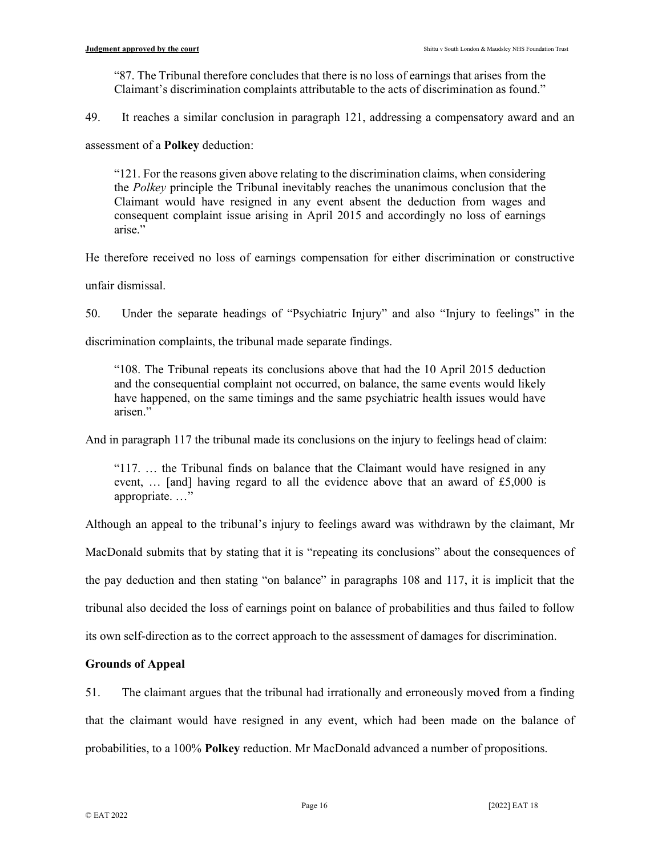"87. The Tribunal therefore concludes that there is no loss of earnings that arises from the Claimant's discrimination complaints attributable to the acts of discrimination as found."

49. It reaches a similar conclusion in paragraph 121, addressing a compensatory award and an

assessment of a Polkey deduction:

"121. For the reasons given above relating to the discrimination claims, when considering the Polkey principle the Tribunal inevitably reaches the unanimous conclusion that the Claimant would have resigned in any event absent the deduction from wages and consequent complaint issue arising in April 2015 and accordingly no loss of earnings arise."

He therefore received no loss of earnings compensation for either discrimination or constructive

unfair dismissal.

50. Under the separate headings of "Psychiatric Injury" and also "Injury to feelings" in the

discrimination complaints, the tribunal made separate findings.

"108. The Tribunal repeats its conclusions above that had the 10 April 2015 deduction and the consequential complaint not occurred, on balance, the same events would likely have happened, on the same timings and the same psychiatric health issues would have arisen."

And in paragraph 117 the tribunal made its conclusions on the injury to feelings head of claim:

"117. … the Tribunal finds on balance that the Claimant would have resigned in any event, … [and] having regard to all the evidence above that an award of £5,000 is appropriate. …"

Although an appeal to the tribunal's injury to feelings award was withdrawn by the claimant, Mr

MacDonald submits that by stating that it is "repeating its conclusions" about the consequences of

the pay deduction and then stating "on balance" in paragraphs 108 and 117, it is implicit that the

tribunal also decided the loss of earnings point on balance of probabilities and thus failed to follow

its own self-direction as to the correct approach to the assessment of damages for discrimination.

# Grounds of Appeal

51. The claimant argues that the tribunal had irrationally and erroneously moved from a finding that the claimant would have resigned in any event, which had been made on the balance of probabilities, to a 100% Polkey reduction. Mr MacDonald advanced a number of propositions.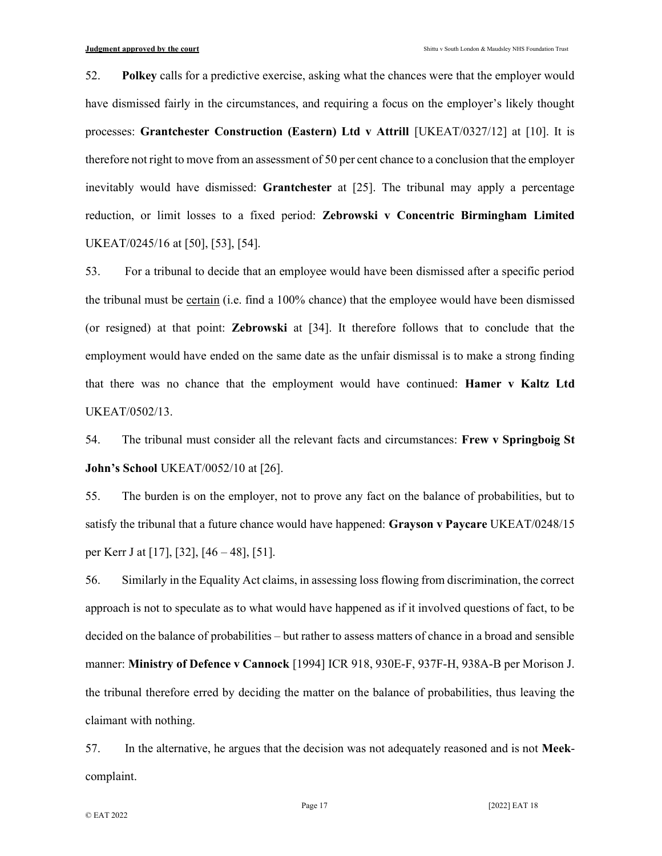52. Polkey calls for a predictive exercise, asking what the chances were that the employer would have dismissed fairly in the circumstances, and requiring a focus on the employer's likely thought processes: Grantchester Construction (Eastern) Ltd v Attrill [UKEAT/0327/12] at [10]. It is therefore not right to move from an assessment of 50 per cent chance to a conclusion that the employer inevitably would have dismissed: Grantchester at [25]. The tribunal may apply a percentage reduction, or limit losses to a fixed period: Zebrowski v Concentric Birmingham Limited UKEAT/0245/16 at [50], [53], [54].

53. For a tribunal to decide that an employee would have been dismissed after a specific period the tribunal must be certain (i.e. find a 100% chance) that the employee would have been dismissed (or resigned) at that point: Zebrowski at [34]. It therefore follows that to conclude that the employment would have ended on the same date as the unfair dismissal is to make a strong finding that there was no chance that the employment would have continued: Hamer v Kaltz Ltd UKEAT/0502/13.

54. The tribunal must consider all the relevant facts and circumstances: Frew v Springboig St John's School UKEAT/0052/10 at [26].

55. The burden is on the employer, not to prove any fact on the balance of probabilities, but to satisfy the tribunal that a future chance would have happened: Grayson v Paycare UKEAT/0248/15 per Kerr J at [17], [32], [46 – 48], [51].

56. Similarly in the Equality Act claims, in assessing loss flowing from discrimination, the correct approach is not to speculate as to what would have happened as if it involved questions of fact, to be decided on the balance of probabilities – but rather to assess matters of chance in a broad and sensible manner: Ministry of Defence v Cannock [1994] ICR 918, 930E-F, 937F-H, 938A-B per Morison J. the tribunal therefore erred by deciding the matter on the balance of probabilities, thus leaving the claimant with nothing.

57. In the alternative, he argues that the decision was not adequately reasoned and is not Meekcomplaint.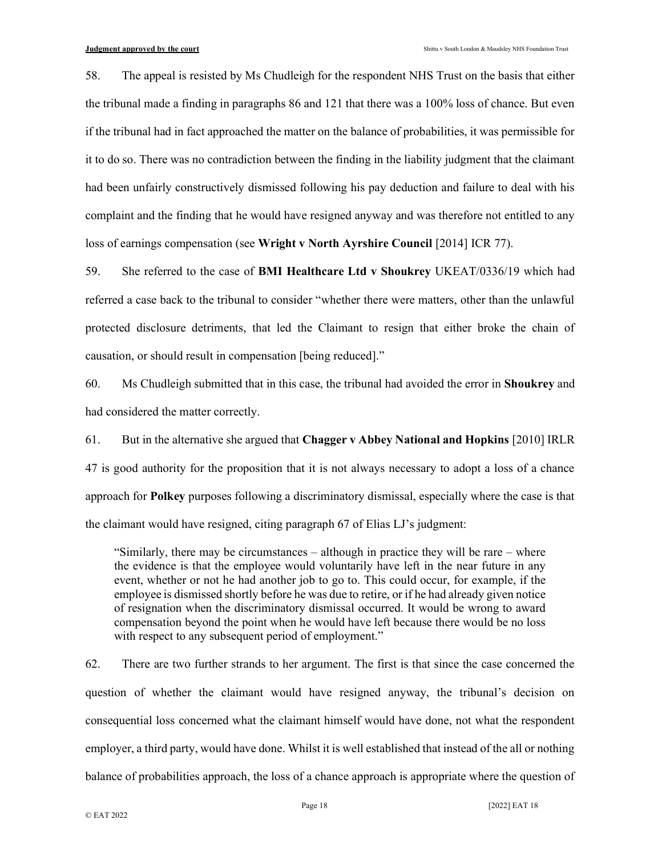58. The appeal is resisted by Ms Chudleigh for the respondent NHS Trust on the basis that either the tribunal made a finding in paragraphs 86 and 121 that there was a 100% loss of chance. But even if the tribunal had in fact approached the matter on the balance of probabilities, it was permissible for it to do so. There was no contradiction between the finding in the liability judgment that the claimant had been unfairly constructively dismissed following his pay deduction and failure to deal with his complaint and the finding that he would have resigned anyway and was therefore not entitled to any loss of earnings compensation (see Wright v North Ayrshire Council [2014] ICR 77).

59. She referred to the case of BMI Healthcare Ltd v Shoukrey UKEAT/0336/19 which had referred a case back to the tribunal to consider "whether there were matters, other than the unlawful protected disclosure detriments, that led the Claimant to resign that either broke the chain of causation, or should result in compensation [being reduced]."

60. Ms Chudleigh submitted that in this case, the tribunal had avoided the error in Shoukrey and had considered the matter correctly.

61. But in the alternative she argued that Chagger v Abbey National and Hopkins [2010] IRLR 47 is good authority for the proposition that it is not always necessary to adopt a loss of a chance approach for Polkey purposes following a discriminatory dismissal, especially where the case is that the claimant would have resigned, citing paragraph 67 of Elias LJ's judgment:

"Similarly, there may be circumstances – although in practice they will be rare – where the evidence is that the employee would voluntarily have left in the near future in any event, whether or not he had another job to go to. This could occur, for example, if the employee is dismissed shortly before he was due to retire, or if he had already given notice of resignation when the discriminatory dismissal occurred. It would be wrong to award compensation beyond the point when he would have left because there would be no loss with respect to any subsequent period of employment."

62. There are two further strands to her argument. The first is that since the case concerned the question of whether the claimant would have resigned anyway, the tribunal's decision on consequential loss concerned what the claimant himself would have done, not what the respondent employer, a third party, would have done. Whilst it is well established that instead of the all or nothing balance of probabilities approach, the loss of a chance approach is appropriate where the question of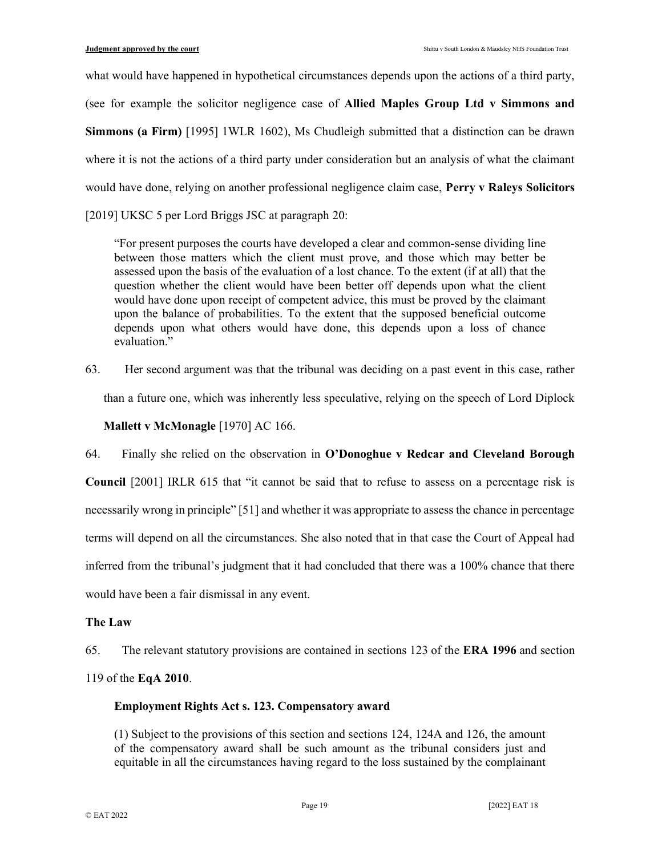what would have happened in hypothetical circumstances depends upon the actions of a third party, (see for example the solicitor negligence case of Allied Maples Group Ltd v Simmons and Simmons (a Firm) [1995] 1WLR 1602), Ms Chudleigh submitted that a distinction can be drawn where it is not the actions of a third party under consideration but an analysis of what the claimant would have done, relying on another professional negligence claim case, Perry v Raleys Solicitors

[2019] UKSC 5 per Lord Briggs JSC at paragraph 20:

"For present purposes the courts have developed a clear and common-sense dividing line between those matters which the client must prove, and those which may better be assessed upon the basis of the evaluation of a lost chance. To the extent (if at all) that the question whether the client would have been better off depends upon what the client would have done upon receipt of competent advice, this must be proved by the claimant upon the balance of probabilities. To the extent that the supposed beneficial outcome depends upon what others would have done, this depends upon a loss of chance evaluation."

63. Her second argument was that the tribunal was deciding on a past event in this case, rather

than a future one, which was inherently less speculative, relying on the speech of Lord Diplock

# Mallett v McMonagle [1970] AC 166.

64. Finally she relied on the observation in O'Donoghue v Redcar and Cleveland Borough

Council [2001] IRLR 615 that "it cannot be said that to refuse to assess on a percentage risk is necessarily wrong in principle" [51] and whether it was appropriate to assess the chance in percentage terms will depend on all the circumstances. She also noted that in that case the Court of Appeal had inferred from the tribunal's judgment that it had concluded that there was a 100% chance that there would have been a fair dismissal in any event.

# The Law

65. The relevant statutory provisions are contained in sections 123 of the ERA 1996 and section

119 of the EqA 2010.

# Employment Rights Act s. 123. Compensatory award

(1) Subject to the provisions of this section and sections 124, 124A and 126, the amount of the compensatory award shall be such amount as the tribunal considers just and equitable in all the circumstances having regard to the loss sustained by the complainant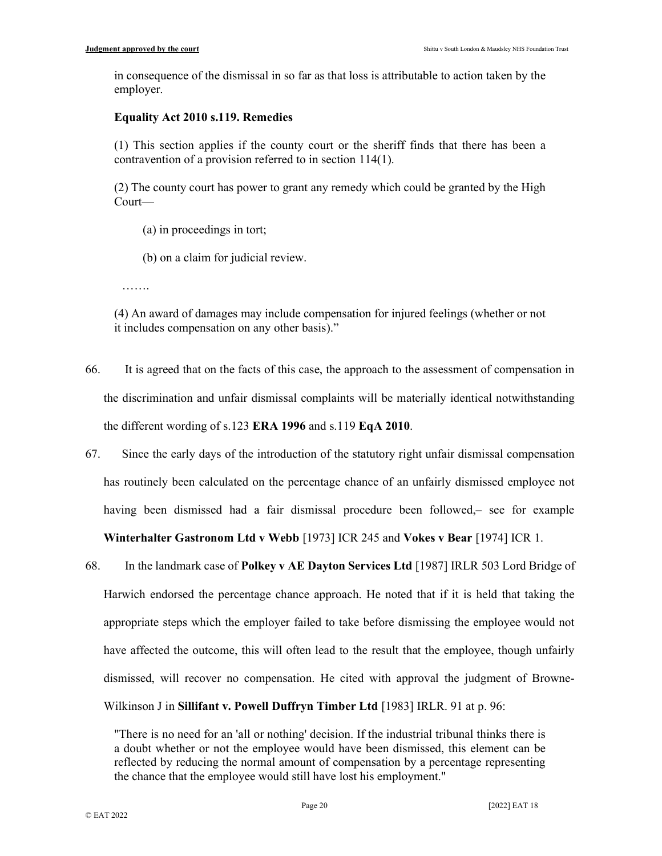in consequence of the dismissal in so far as that loss is attributable to action taken by the employer.

## Equality Act 2010 s.119. Remedies

(1) This section applies if the county court or the sheriff finds that there has been a contravention of a provision referred to in section 114(1).

(2) The county court has power to grant any remedy which could be granted by the High Court—

(a) in proceedings in tort;

(b) on a claim for judicial review.

……

(4) An award of damages may include compensation for injured feelings (whether or not it includes compensation on any other basis)."

- 66. It is agreed that on the facts of this case, the approach to the assessment of compensation in the discrimination and unfair dismissal complaints will be materially identical notwithstanding the different wording of s.123 ERA 1996 and s.119 EqA 2010.
- 67. Since the early days of the introduction of the statutory right unfair dismissal compensation has routinely been calculated on the percentage chance of an unfairly dismissed employee not having been dismissed had a fair dismissal procedure been followed,– see for example Winterhalter Gastronom Ltd v Webb [1973] ICR 245 and Vokes v Bear [1974] ICR 1.
- 68. In the landmark case of Polkey v AE Dayton Services Ltd [1987] IRLR 503 Lord Bridge of Harwich endorsed the percentage chance approach. He noted that if it is held that taking the appropriate steps which the employer failed to take before dismissing the employee would not have affected the outcome, this will often lead to the result that the employee, though unfairly dismissed, will recover no compensation. He cited with approval the judgment of Browne-Wilkinson J in Sillifant v. Powell Duffryn Timber Ltd [1983] IRLR. 91 at p. 96:

<sup>&</sup>quot;There is no need for an 'all or nothing' decision. If the industrial tribunal thinks there is a doubt whether or not the employee would have been dismissed, this element can be reflected by reducing the normal amount of compensation by a percentage representing the chance that the employee would still have lost his employment."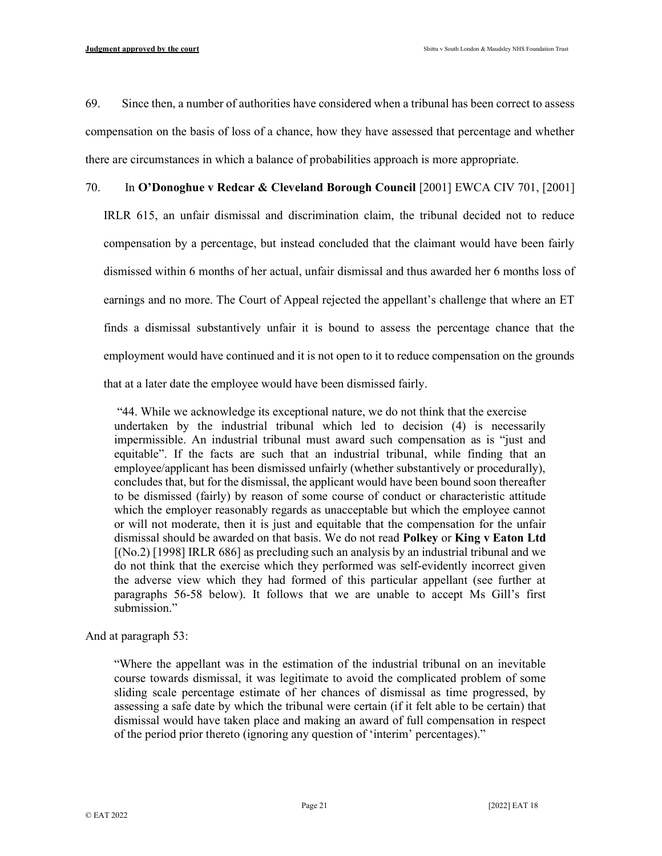69. Since then, a number of authorities have considered when a tribunal has been correct to assess compensation on the basis of loss of a chance, how they have assessed that percentage and whether there are circumstances in which a balance of probabilities approach is more appropriate.

## 70. In O'Donoghue v Redcar & Cleveland Borough Council [2001] EWCA CIV 701, [2001]

IRLR 615, an unfair dismissal and discrimination claim, the tribunal decided not to reduce compensation by a percentage, but instead concluded that the claimant would have been fairly dismissed within 6 months of her actual, unfair dismissal and thus awarded her 6 months loss of earnings and no more. The Court of Appeal rejected the appellant's challenge that where an ET finds a dismissal substantively unfair it is bound to assess the percentage chance that the employment would have continued and it is not open to it to reduce compensation on the grounds that at a later date the employee would have been dismissed fairly.

 "44. While we acknowledge its exceptional nature, we do not think that the exercise undertaken by the industrial tribunal which led to decision (4) is necessarily impermissible. An industrial tribunal must award such compensation as is "just and equitable". If the facts are such that an industrial tribunal, while finding that an employee/applicant has been dismissed unfairly (whether substantively or procedurally), concludes that, but for the dismissal, the applicant would have been bound soon thereafter to be dismissed (fairly) by reason of some course of conduct or characteristic attitude which the employer reasonably regards as unacceptable but which the employee cannot or will not moderate, then it is just and equitable that the compensation for the unfair dismissal should be awarded on that basis. We do not read Polkey or King v Eaton Ltd [(No.2) [1998] IRLR 686] as precluding such an analysis by an industrial tribunal and we do not think that the exercise which they performed was self-evidently incorrect given the adverse view which they had formed of this particular appellant (see further at paragraphs 56-58 below). It follows that we are unable to accept Ms Gill's first submission."

And at paragraph 53:

"Where the appellant was in the estimation of the industrial tribunal on an inevitable course towards dismissal, it was legitimate to avoid the complicated problem of some sliding scale percentage estimate of her chances of dismissal as time progressed, by assessing a safe date by which the tribunal were certain (if it felt able to be certain) that dismissal would have taken place and making an award of full compensation in respect of the period prior thereto (ignoring any question of 'interim' percentages)."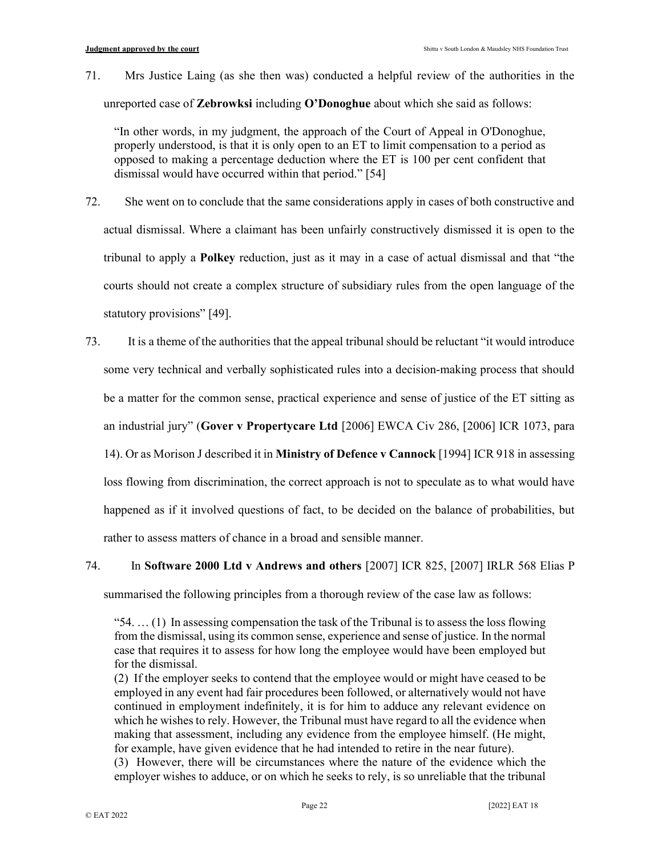71. Mrs Justice Laing (as she then was) conducted a helpful review of the authorities in the unreported case of **Zebrowksi** including  $O$ **Donoghue** about which she said as follows:

"In other words, in my judgment, the approach of the Court of Appeal in O'Donoghue, properly understood, is that it is only open to an ET to limit compensation to a period as opposed to making a percentage deduction where the ET is 100 per cent confident that dismissal would have occurred within that period." [54]

- 72. She went on to conclude that the same considerations apply in cases of both constructive and actual dismissal. Where a claimant has been unfairly constructively dismissed it is open to the tribunal to apply a Polkey reduction, just as it may in a case of actual dismissal and that "the courts should not create a complex structure of subsidiary rules from the open language of the statutory provisions" [49].
- 73. It is a theme of the authorities that the appeal tribunal should be reluctant "it would introduce some very technical and verbally sophisticated rules into a decision-making process that should be a matter for the common sense, practical experience and sense of justice of the ET sitting as an industrial jury" (Gover v Propertycare Ltd [2006] EWCA Civ 286, [2006] ICR 1073, para 14). Or as Morison J described it in Ministry of Defence v Cannock [1994] ICR 918 in assessing loss flowing from discrimination, the correct approach is not to speculate as to what would have happened as if it involved questions of fact, to be decided on the balance of probabilities, but rather to assess matters of chance in a broad and sensible manner.
- 74. In Software 2000 Ltd v Andrews and others [2007] ICR 825, [2007] IRLR 568 Elias P

summarised the following principles from a thorough review of the case law as follows:

"54. … (1) In assessing compensation the task of the Tribunal is to assess the loss flowing from the dismissal, using its common sense, experience and sense of justice. In the normal case that requires it to assess for how long the employee would have been employed but for the dismissal.

(2) If the employer seeks to contend that the employee would or might have ceased to be employed in any event had fair procedures been followed, or alternatively would not have continued in employment indefinitely, it is for him to adduce any relevant evidence on which he wishes to rely. However, the Tribunal must have regard to all the evidence when making that assessment, including any evidence from the employee himself. (He might, for example, have given evidence that he had intended to retire in the near future).

(3) However, there will be circumstances where the nature of the evidence which the employer wishes to adduce, or on which he seeks to rely, is so unreliable that the tribunal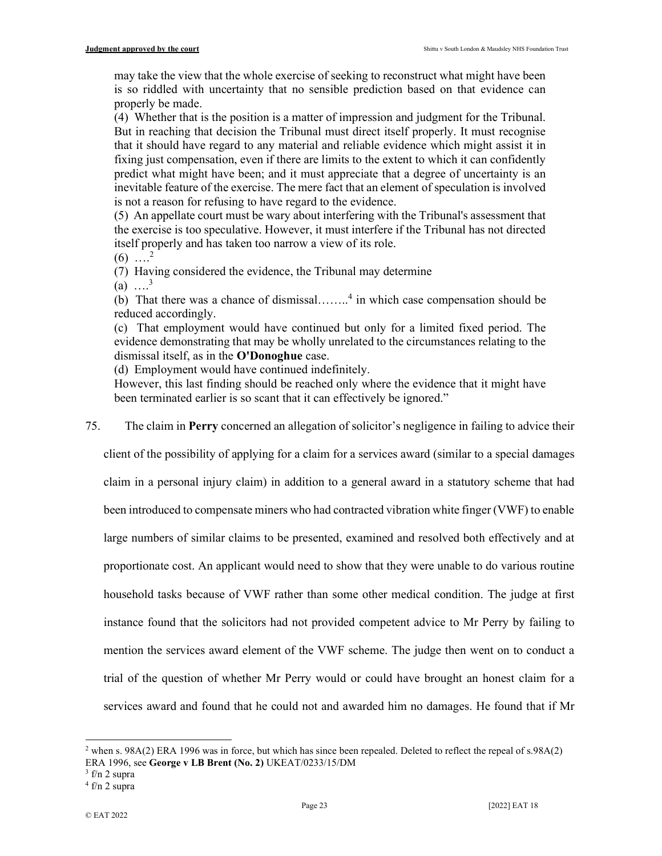may take the view that the whole exercise of seeking to reconstruct what might have been is so riddled with uncertainty that no sensible prediction based on that evidence can properly be made.

(4) Whether that is the position is a matter of impression and judgment for the Tribunal. But in reaching that decision the Tribunal must direct itself properly. It must recognise that it should have regard to any material and reliable evidence which might assist it in fixing just compensation, even if there are limits to the extent to which it can confidently predict what might have been; and it must appreciate that a degree of uncertainty is an inevitable feature of the exercise. The mere fact that an element of speculation is involved is not a reason for refusing to have regard to the evidence.

(5) An appellate court must be wary about interfering with the Tribunal's assessment that the exercise is too speculative. However, it must interfere if the Tribunal has not directed itself properly and has taken too narrow a view of its role.

 $(6)$  ....<sup>2</sup>

(7) Having considered the evidence, the Tribunal may determine

(a)  $\dots^3$ 

(b) That there was a chance of dismissal........<sup>4</sup> in which case compensation should be reduced accordingly.

(c) That employment would have continued but only for a limited fixed period. The evidence demonstrating that may be wholly unrelated to the circumstances relating to the dismissal itself, as in the O'Donoghue case.

(d) Employment would have continued indefinitely.

However, this last finding should be reached only where the evidence that it might have been terminated earlier is so scant that it can effectively be ignored."

75. The claim in Perry concerned an allegation of solicitor's negligence in failing to advice their

client of the possibility of applying for a claim for a services award (similar to a special damages

claim in a personal injury claim) in addition to a general award in a statutory scheme that had

been introduced to compensate miners who had contracted vibration white finger (VWF) to enable

large numbers of similar claims to be presented, examined and resolved both effectively and at

proportionate cost. An applicant would need to show that they were unable to do various routine

household tasks because of VWF rather than some other medical condition. The judge at first

instance found that the solicitors had not provided competent advice to Mr Perry by failing to

mention the services award element of the VWF scheme. The judge then went on to conduct a

trial of the question of whether Mr Perry would or could have brought an honest claim for a

services award and found that he could not and awarded him no damages. He found that if Mr

<sup>&</sup>lt;sup>2</sup> when s. 98A(2) ERA 1996 was in force, but which has since been repealed. Deleted to reflect the repeal of s.98A(2) ERA 1996, see George v LB Brent (No. 2) UKEAT/0233/15/DM

 $3$  f/n 2 supra

<sup>4</sup> f/n 2 supra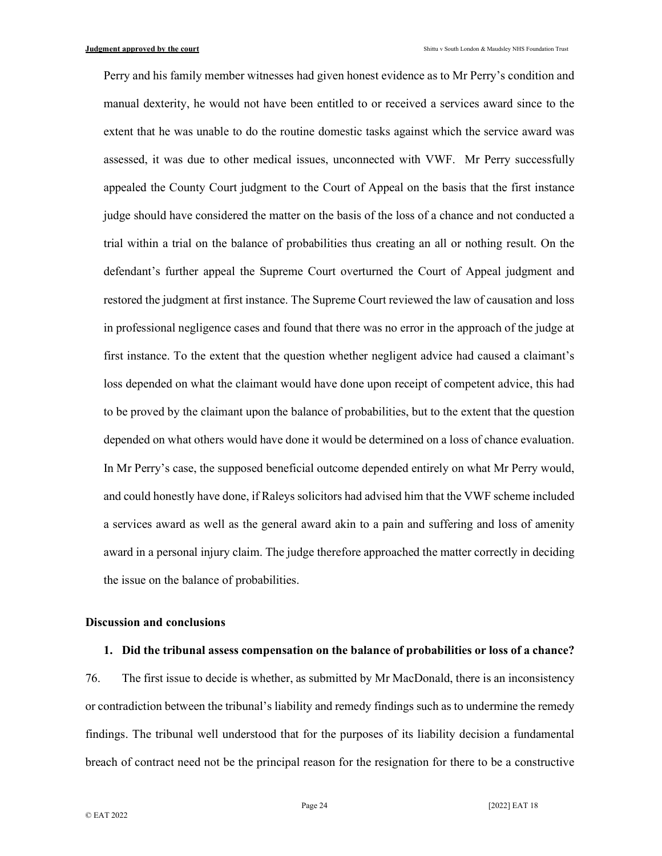Perry and his family member witnesses had given honest evidence as to Mr Perry's condition and manual dexterity, he would not have been entitled to or received a services award since to the extent that he was unable to do the routine domestic tasks against which the service award was assessed, it was due to other medical issues, unconnected with VWF. Mr Perry successfully appealed the County Court judgment to the Court of Appeal on the basis that the first instance judge should have considered the matter on the basis of the loss of a chance and not conducted a trial within a trial on the balance of probabilities thus creating an all or nothing result. On the defendant's further appeal the Supreme Court overturned the Court of Appeal judgment and restored the judgment at first instance. The Supreme Court reviewed the law of causation and loss in professional negligence cases and found that there was no error in the approach of the judge at first instance. To the extent that the question whether negligent advice had caused a claimant's loss depended on what the claimant would have done upon receipt of competent advice, this had to be proved by the claimant upon the balance of probabilities, but to the extent that the question depended on what others would have done it would be determined on a loss of chance evaluation. In Mr Perry's case, the supposed beneficial outcome depended entirely on what Mr Perry would, and could honestly have done, if Raleys solicitors had advised him that the VWF scheme included a services award as well as the general award akin to a pain and suffering and loss of amenity award in a personal injury claim. The judge therefore approached the matter correctly in deciding the issue on the balance of probabilities.

#### Discussion and conclusions

#### 1. Did the tribunal assess compensation on the balance of probabilities or loss of a chance?

76. The first issue to decide is whether, as submitted by Mr MacDonald, there is an inconsistency or contradiction between the tribunal's liability and remedy findings such as to undermine the remedy findings. The tribunal well understood that for the purposes of its liability decision a fundamental breach of contract need not be the principal reason for the resignation for there to be a constructive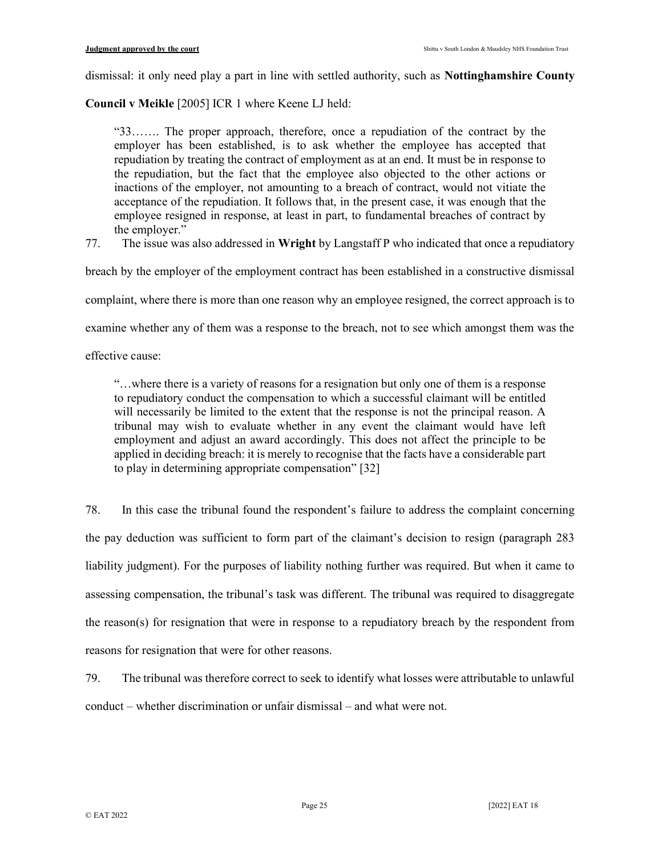dismissal: it only need play a part in line with settled authority, such as Nottinghamshire County

Council v Meikle [2005] ICR 1 where Keene LJ held:

"33……. The proper approach, therefore, once a repudiation of the contract by the employer has been established, is to ask whether the employee has accepted that repudiation by treating the contract of employment as at an end. It must be in response to the repudiation, but the fact that the employee also objected to the other actions or inactions of the employer, not amounting to a breach of contract, would not vitiate the acceptance of the repudiation. It follows that, in the present case, it was enough that the employee resigned in response, at least in part, to fundamental breaches of contract by the employer."

77. The issue was also addressed in Wright by Langstaff P who indicated that once a repudiatory

breach by the employer of the employment contract has been established in a constructive dismissal

complaint, where there is more than one reason why an employee resigned, the correct approach is to

examine whether any of them was a response to the breach, not to see which amongst them was the

effective cause:

"…where there is a variety of reasons for a resignation but only one of them is a response to repudiatory conduct the compensation to which a successful claimant will be entitled will necessarily be limited to the extent that the response is not the principal reason. A tribunal may wish to evaluate whether in any event the claimant would have left employment and adjust an award accordingly. This does not affect the principle to be applied in deciding breach: it is merely to recognise that the facts have a considerable part to play in determining appropriate compensation" [32]

78. In this case the tribunal found the respondent's failure to address the complaint concerning the pay deduction was sufficient to form part of the claimant's decision to resign (paragraph 283 liability judgment). For the purposes of liability nothing further was required. But when it came to assessing compensation, the tribunal's task was different. The tribunal was required to disaggregate the reason(s) for resignation that were in response to a repudiatory breach by the respondent from reasons for resignation that were for other reasons.

79. The tribunal was therefore correct to seek to identify what losses were attributable to unlawful conduct – whether discrimination or unfair dismissal – and what were not.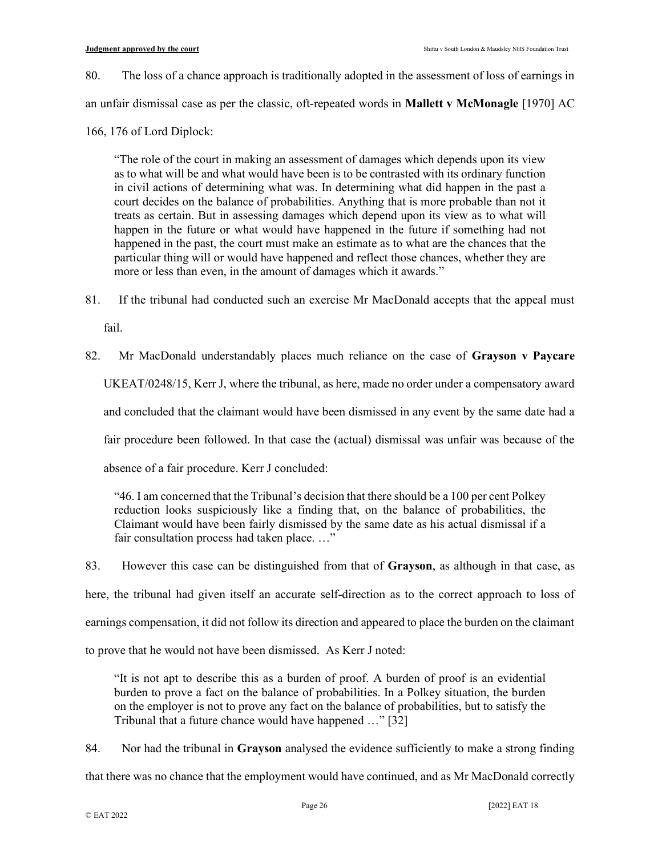- 80. The loss of a chance approach is traditionally adopted in the assessment of loss of earnings in an unfair dismissal case as per the classic, oft-repeated words in Mallett v McMonagle [1970] AC
- 166, 176 of Lord Diplock:

"The role of the court in making an assessment of damages which depends upon its view as to what will be and what would have been is to be contrasted with its ordinary function in civil actions of determining what was. In determining what did happen in the past a court decides on the balance of probabilities. Anything that is more probable than not it treats as certain. But in assessing damages which depend upon its view as to what will happen in the future or what would have happened in the future if something had not happened in the past, the court must make an estimate as to what are the chances that the particular thing will or would have happened and reflect those chances, whether they are more or less than even, in the amount of damages which it awards."

- 81. If the tribunal had conducted such an exercise Mr MacDonald accepts that the appeal must fail.
- 82. Mr MacDonald understandably places much reliance on the case of Grayson v Paycare UKEAT/0248/15, Kerr J, where the tribunal, as here, made no order under a compensatory award and concluded that the claimant would have been dismissed in any event by the same date had a fair procedure been followed. In that case the (actual) dismissal was unfair was because of the absence of a fair procedure. Kerr J concluded:

"46. I am concerned that the Tribunal's decision that there should be a 100 per cent Polkey reduction looks suspiciously like a finding that, on the balance of probabilities, the Claimant would have been fairly dismissed by the same date as his actual dismissal if a fair consultation process had taken place. …"

83. However this case can be distinguished from that of Grayson, as although in that case, as here, the tribunal had given itself an accurate self-direction as to the correct approach to loss of earnings compensation, it did not follow its direction and appeared to place the burden on the claimant to prove that he would not have been dismissed. As Kerr J noted:

"It is not apt to describe this as a burden of proof. A burden of proof is an evidential burden to prove a fact on the balance of probabilities. In a Polkey situation, the burden on the employer is not to prove any fact on the balance of probabilities, but to satisfy the Tribunal that a future chance would have happened …" [32]

84. Nor had the tribunal in Grayson analysed the evidence sufficiently to make a strong finding

that there was no chance that the employment would have continued, and as Mr MacDonald correctly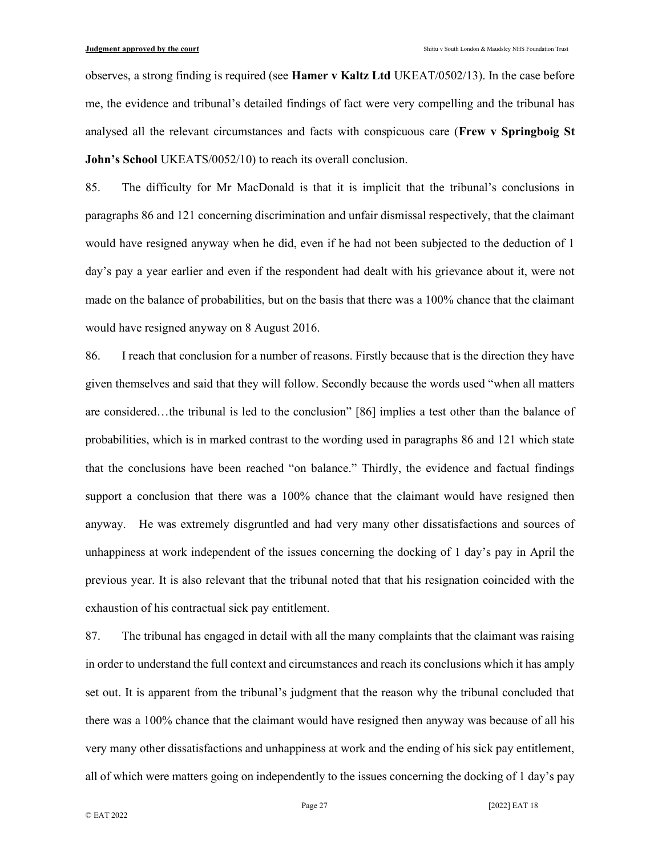observes, a strong finding is required (see **Hamer v Kaltz Ltd** UKEAT/0502/13). In the case before me, the evidence and tribunal's detailed findings of fact were very compelling and the tribunal has analysed all the relevant circumstances and facts with conspicuous care (Frew v Springboig St John's School UKEATS/0052/10) to reach its overall conclusion.

85. The difficulty for Mr MacDonald is that it is implicit that the tribunal's conclusions in paragraphs 86 and 121 concerning discrimination and unfair dismissal respectively, that the claimant would have resigned anyway when he did, even if he had not been subjected to the deduction of 1 day's pay a year earlier and even if the respondent had dealt with his grievance about it, were not made on the balance of probabilities, but on the basis that there was a 100% chance that the claimant would have resigned anyway on 8 August 2016.

86. I reach that conclusion for a number of reasons. Firstly because that is the direction they have given themselves and said that they will follow. Secondly because the words used "when all matters are considered…the tribunal is led to the conclusion" [86] implies a test other than the balance of probabilities, which is in marked contrast to the wording used in paragraphs 86 and 121 which state that the conclusions have been reached "on balance." Thirdly, the evidence and factual findings support a conclusion that there was a 100% chance that the claimant would have resigned then anyway. He was extremely disgruntled and had very many other dissatisfactions and sources of unhappiness at work independent of the issues concerning the docking of 1 day's pay in April the previous year. It is also relevant that the tribunal noted that that his resignation coincided with the exhaustion of his contractual sick pay entitlement.

87. The tribunal has engaged in detail with all the many complaints that the claimant was raising in order to understand the full context and circumstances and reach its conclusions which it has amply set out. It is apparent from the tribunal's judgment that the reason why the tribunal concluded that there was a 100% chance that the claimant would have resigned then anyway was because of all his very many other dissatisfactions and unhappiness at work and the ending of his sick pay entitlement, all of which were matters going on independently to the issues concerning the docking of 1 day's pay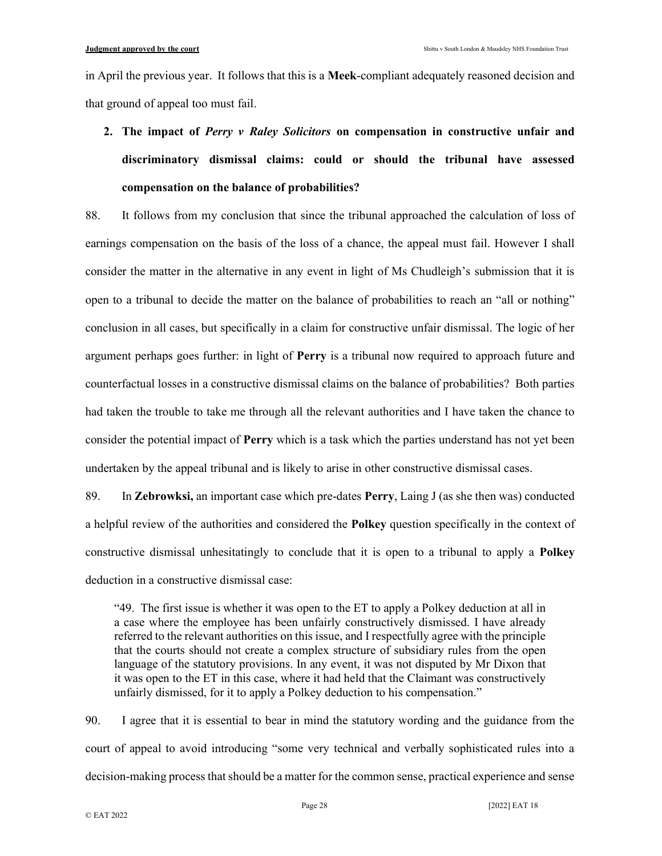in April the previous year. It follows that this is a **Meek-compliant adequately reasoned decision and** that ground of appeal too must fail.

# 2. The impact of *Perry v Raley Solicitors* on compensation in constructive unfair and discriminatory dismissal claims: could or should the tribunal have assessed compensation on the balance of probabilities?

88. It follows from my conclusion that since the tribunal approached the calculation of loss of earnings compensation on the basis of the loss of a chance, the appeal must fail. However I shall consider the matter in the alternative in any event in light of Ms Chudleigh's submission that it is open to a tribunal to decide the matter on the balance of probabilities to reach an "all or nothing" conclusion in all cases, but specifically in a claim for constructive unfair dismissal. The logic of her argument perhaps goes further: in light of Perry is a tribunal now required to approach future and counterfactual losses in a constructive dismissal claims on the balance of probabilities? Both parties had taken the trouble to take me through all the relevant authorities and I have taken the chance to consider the potential impact of Perry which is a task which the parties understand has not yet been undertaken by the appeal tribunal and is likely to arise in other constructive dismissal cases.

89. In **Zebrowksi**, an important case which pre-dates **Perry**, Laing J (as she then was) conducted a helpful review of the authorities and considered the Polkey question specifically in the context of constructive dismissal unhesitatingly to conclude that it is open to a tribunal to apply a Polkey deduction in a constructive dismissal case:

"49. The first issue is whether it was open to the ET to apply a Polkey deduction at all in a case where the employee has been unfairly constructively dismissed. I have already referred to the relevant authorities on this issue, and I respectfully agree with the principle that the courts should not create a complex structure of subsidiary rules from the open language of the statutory provisions. In any event, it was not disputed by Mr Dixon that it was open to the ET in this case, where it had held that the Claimant was constructively unfairly dismissed, for it to apply a Polkey deduction to his compensation."

90. I agree that it is essential to bear in mind the statutory wording and the guidance from the court of appeal to avoid introducing "some very technical and verbally sophisticated rules into a decision-making process that should be a matter for the common sense, practical experience and sense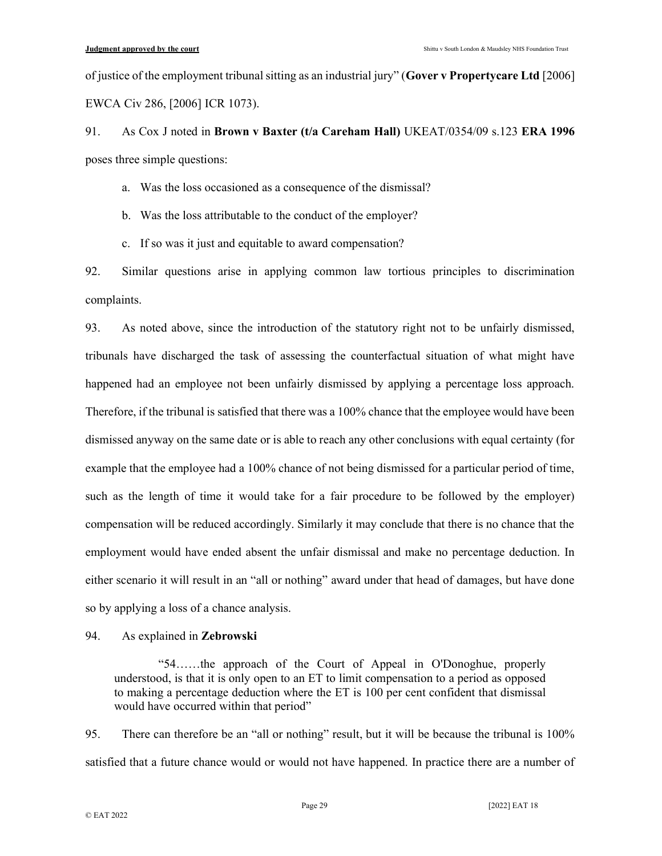of justice of the employment tribunal sitting as an industrial jury" (Gover v Propertycare Ltd [2006] EWCA Civ 286, [2006] ICR 1073).

91. As Cox J noted in Brown v Baxter (t/a Careham Hall) UKEAT/0354/09 s.123 ERA 1996 poses three simple questions:

a. Was the loss occasioned as a consequence of the dismissal?

b. Was the loss attributable to the conduct of the employer?

c. If so was it just and equitable to award compensation?

92. Similar questions arise in applying common law tortious principles to discrimination complaints.

93. As noted above, since the introduction of the statutory right not to be unfairly dismissed, tribunals have discharged the task of assessing the counterfactual situation of what might have happened had an employee not been unfairly dismissed by applying a percentage loss approach. Therefore, if the tribunal is satisfied that there was a 100% chance that the employee would have been dismissed anyway on the same date or is able to reach any other conclusions with equal certainty (for example that the employee had a 100% chance of not being dismissed for a particular period of time, such as the length of time it would take for a fair procedure to be followed by the employer) compensation will be reduced accordingly. Similarly it may conclude that there is no chance that the employment would have ended absent the unfair dismissal and make no percentage deduction. In either scenario it will result in an "all or nothing" award under that head of damages, but have done so by applying a loss of a chance analysis.

94. As explained in Zebrowski

 "54……the approach of the Court of Appeal in O'Donoghue, properly understood, is that it is only open to an ET to limit compensation to a period as opposed to making a percentage deduction where the ET is 100 per cent confident that dismissal would have occurred within that period"

95. There can therefore be an "all or nothing" result, but it will be because the tribunal is 100% satisfied that a future chance would or would not have happened. In practice there are a number of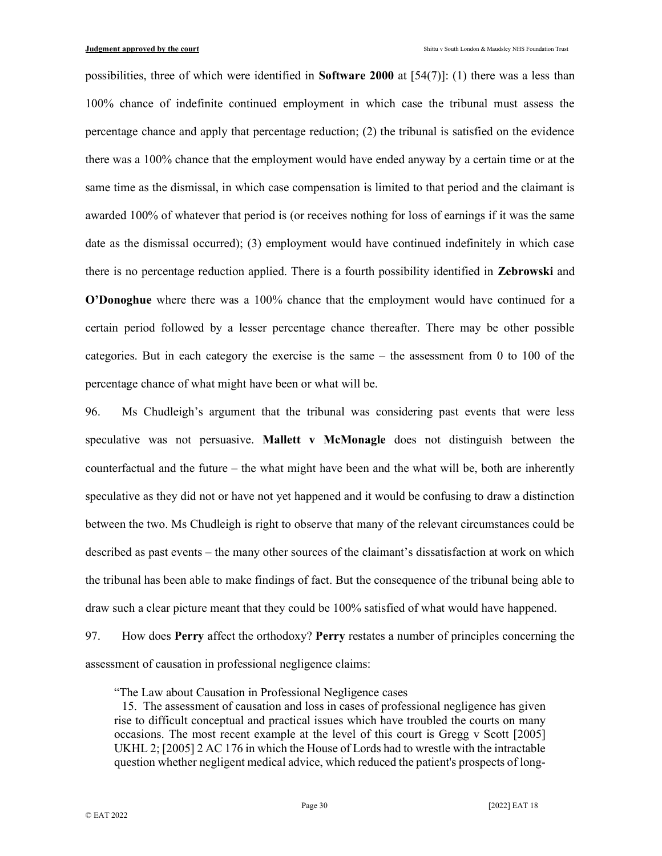possibilities, three of which were identified in **Software 2000** at  $[54(7)]$ : (1) there was a less than 100% chance of indefinite continued employment in which case the tribunal must assess the percentage chance and apply that percentage reduction; (2) the tribunal is satisfied on the evidence there was a 100% chance that the employment would have ended anyway by a certain time or at the same time as the dismissal, in which case compensation is limited to that period and the claimant is awarded 100% of whatever that period is (or receives nothing for loss of earnings if it was the same date as the dismissal occurred); (3) employment would have continued indefinitely in which case there is no percentage reduction applied. There is a fourth possibility identified in Zebrowski and O'Donoghue where there was a 100% chance that the employment would have continued for a certain period followed by a lesser percentage chance thereafter. There may be other possible categories. But in each category the exercise is the same – the assessment from 0 to 100 of the percentage chance of what might have been or what will be.

96. Ms Chudleigh's argument that the tribunal was considering past events that were less speculative was not persuasive. Mallett v McMonagle does not distinguish between the counterfactual and the future – the what might have been and the what will be, both are inherently speculative as they did not or have not yet happened and it would be confusing to draw a distinction between the two. Ms Chudleigh is right to observe that many of the relevant circumstances could be described as past events – the many other sources of the claimant's dissatisfaction at work on which the tribunal has been able to make findings of fact. But the consequence of the tribunal being able to draw such a clear picture meant that they could be 100% satisfied of what would have happened.

97. How does Perry affect the orthodoxy? Perry restates a number of principles concerning the assessment of causation in professional negligence claims:

"The Law about Causation in Professional Negligence cases

 <sup>15.</sup> The assessment of causation and loss in cases of professional negligence has given rise to difficult conceptual and practical issues which have troubled the courts on many occasions. The most recent example at the level of this court is Gregg v Scott [2005] UKHL 2; [2005] 2 AC 176 in which the House of Lords had to wrestle with the intractable question whether negligent medical advice, which reduced the patient's prospects of long-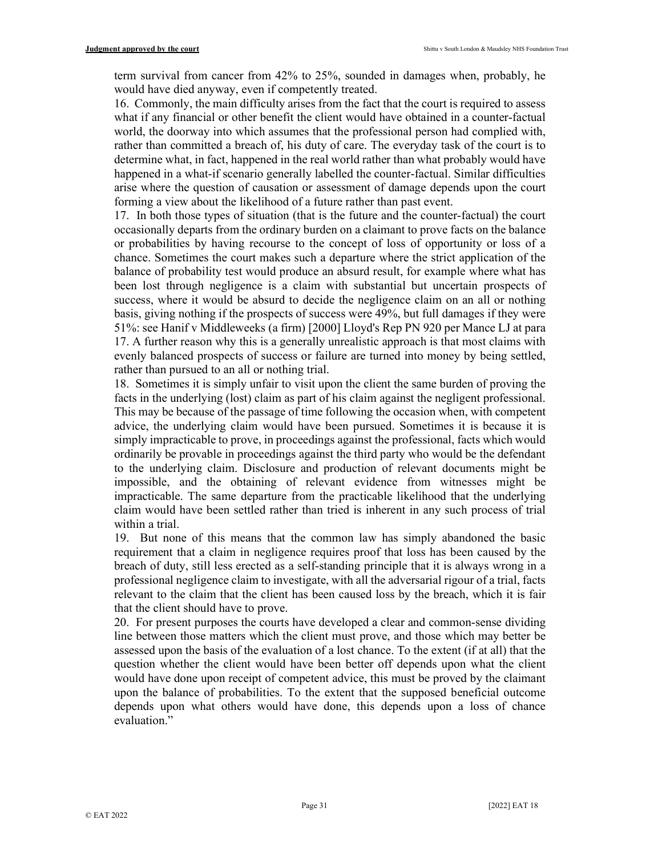term survival from cancer from 42% to 25%, sounded in damages when, probably, he would have died anyway, even if competently treated.

16. Commonly, the main difficulty arises from the fact that the court is required to assess what if any financial or other benefit the client would have obtained in a counter-factual world, the doorway into which assumes that the professional person had complied with, rather than committed a breach of, his duty of care. The everyday task of the court is to determine what, in fact, happened in the real world rather than what probably would have happened in a what-if scenario generally labelled the counter-factual. Similar difficulties arise where the question of causation or assessment of damage depends upon the court forming a view about the likelihood of a future rather than past event.

17. In both those types of situation (that is the future and the counter-factual) the court occasionally departs from the ordinary burden on a claimant to prove facts on the balance or probabilities by having recourse to the concept of loss of opportunity or loss of a chance. Sometimes the court makes such a departure where the strict application of the balance of probability test would produce an absurd result, for example where what has been lost through negligence is a claim with substantial but uncertain prospects of success, where it would be absurd to decide the negligence claim on an all or nothing basis, giving nothing if the prospects of success were 49%, but full damages if they were 51%: see Hanif v Middleweeks (a firm) [2000] Lloyd's Rep PN 920 per Mance LJ at para 17. A further reason why this is a generally unrealistic approach is that most claims with evenly balanced prospects of success or failure are turned into money by being settled, rather than pursued to an all or nothing trial.

18. Sometimes it is simply unfair to visit upon the client the same burden of proving the facts in the underlying (lost) claim as part of his claim against the negligent professional. This may be because of the passage of time following the occasion when, with competent advice, the underlying claim would have been pursued. Sometimes it is because it is simply impracticable to prove, in proceedings against the professional, facts which would ordinarily be provable in proceedings against the third party who would be the defendant to the underlying claim. Disclosure and production of relevant documents might be impossible, and the obtaining of relevant evidence from witnesses might be impracticable. The same departure from the practicable likelihood that the underlying claim would have been settled rather than tried is inherent in any such process of trial within a trial.

19. But none of this means that the common law has simply abandoned the basic requirement that a claim in negligence requires proof that loss has been caused by the breach of duty, still less erected as a self-standing principle that it is always wrong in a professional negligence claim to investigate, with all the adversarial rigour of a trial, facts relevant to the claim that the client has been caused loss by the breach, which it is fair that the client should have to prove.

20. For present purposes the courts have developed a clear and common-sense dividing line between those matters which the client must prove, and those which may better be assessed upon the basis of the evaluation of a lost chance. To the extent (if at all) that the question whether the client would have been better off depends upon what the client would have done upon receipt of competent advice, this must be proved by the claimant upon the balance of probabilities. To the extent that the supposed beneficial outcome depends upon what others would have done, this depends upon a loss of chance evaluation."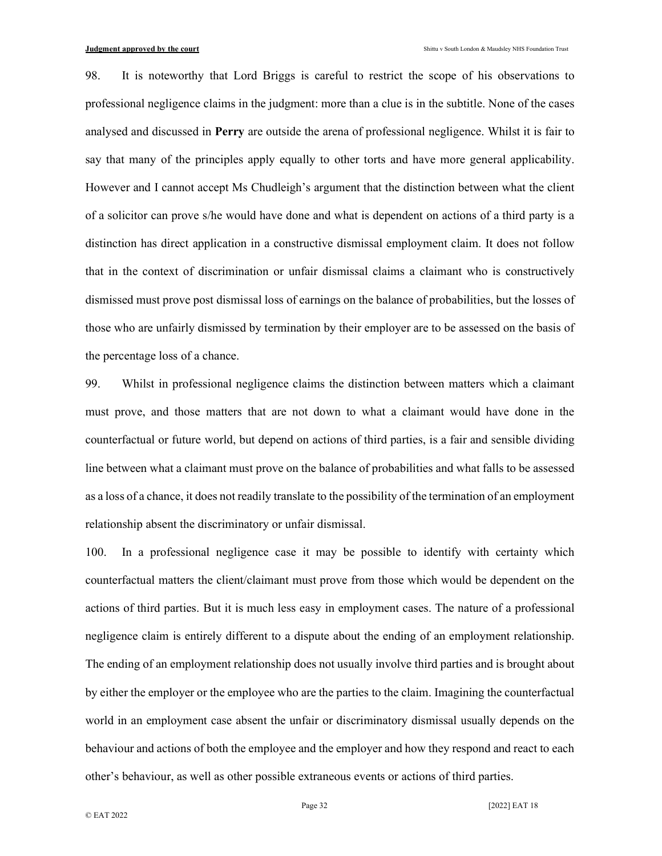98. It is noteworthy that Lord Briggs is careful to restrict the scope of his observations to professional negligence claims in the judgment: more than a clue is in the subtitle. None of the cases analysed and discussed in Perry are outside the arena of professional negligence. Whilst it is fair to say that many of the principles apply equally to other torts and have more general applicability. However and I cannot accept Ms Chudleigh's argument that the distinction between what the client of a solicitor can prove s/he would have done and what is dependent on actions of a third party is a distinction has direct application in a constructive dismissal employment claim. It does not follow that in the context of discrimination or unfair dismissal claims a claimant who is constructively dismissed must prove post dismissal loss of earnings on the balance of probabilities, but the losses of those who are unfairly dismissed by termination by their employer are to be assessed on the basis of the percentage loss of a chance.

99. Whilst in professional negligence claims the distinction between matters which a claimant must prove, and those matters that are not down to what a claimant would have done in the counterfactual or future world, but depend on actions of third parties, is a fair and sensible dividing line between what a claimant must prove on the balance of probabilities and what falls to be assessed as a loss of a chance, it does not readily translate to the possibility of the termination of an employment relationship absent the discriminatory or unfair dismissal.

100. In a professional negligence case it may be possible to identify with certainty which counterfactual matters the client/claimant must prove from those which would be dependent on the actions of third parties. But it is much less easy in employment cases. The nature of a professional negligence claim is entirely different to a dispute about the ending of an employment relationship. The ending of an employment relationship does not usually involve third parties and is brought about by either the employer or the employee who are the parties to the claim. Imagining the counterfactual world in an employment case absent the unfair or discriminatory dismissal usually depends on the behaviour and actions of both the employee and the employer and how they respond and react to each other's behaviour, as well as other possible extraneous events or actions of third parties.